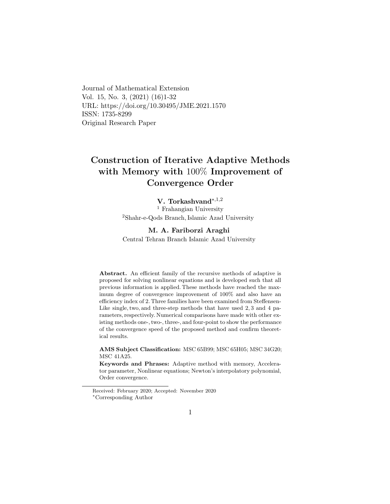Journal of Mathematical Extension Vol. 15, No. 3, (2021) (16)1-32 URL: https://doi.org/10.30495/JME.2021.1570 ISSN: 1735-8299 Original Research Paper

# Construction of Iterative Adaptive Methods with Memory with 100% Improvement of Convergence Order

#### V. Torkashvand∗,1,[2](#page-0-0)

<sup>1</sup> Frahangian University <sup>2</sup>Shahr-e-Qods Branch, Islamic Azad University

#### M. A. Fariborzi Araghi

Central Tehran Branch Islamic Azad University

Abstract. An efficient family of the recursive methods of adaptive is proposed for solving nonlinear equations and is developed such that all previous information is applied. These methods have reached the maximum degree of convergence improvement of 100% and also have an efficiency index of 2. Three families have been examined from Steffensen-Like single, two, and three-step methods that have used 2, 3 and 4 parameters, respectively. Numerical comparisons have made with other existing methods one-, two-, three-, and four-point to show the performance of the convergence speed of the proposed method and confirm theoretical results.

AMS Subject Classification: MSC 65B99; MSC 65H05; MSC 34G20; MSC 41A25.

Keywords and Phrases: Adaptive method with memory, Accelerator parameter, Nonlinear equations; Newton's interpolatory polynomial, Order convergence.

<span id="page-0-0"></span>Received: February 2020; Accepted: November 2020 <sup>∗</sup>Corresponding Author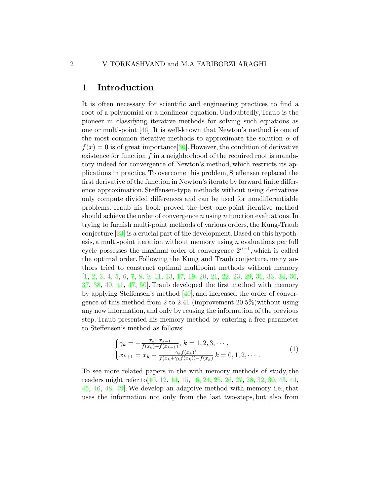# 1 Introduction

It is often necessary for scientific and engineering practices to find a root of a polynomial or a nonlinear equation. Undoubtedly, Traub is the pioneer in classifying iterative methods for solving such equations as one or multi-point [\[46\]](#page-30-0). It is well-known that Newton's method is one of the most common iterative methods to approximate the solution  $\alpha$  of  $f(x) = 0$  is of great importance [\[30\]](#page-28-0). However, the condition of derivative existence for function  $f$  in a neighborhood of the required root is mandatory indeed for convergence of Newton's method, which restricts its applications in practice. To overcome this problem, Steffensen replaced the first derivative of the function in Newton's iterate by forward finite difference approximation. Steffensen-type methods without using derivatives only compute divided differences and can be used for nondifferentiable problems. Traub his book proved the best one-point iterative method should achieve the order of convergence  $n$  using  $n$  function evaluations. In trying to furnish multi-point methods of various orders, the Kung-Traub conjecture [\[23\]](#page-28-1) is a crucial part of the development. Based on this hypothesis, a multi-point iteration without memory using  $n$  evaluations per full cycle possesses the maximal order of convergence  $2^{n-1}$ , which is called the optimal order. Following the Kung and Traub conjecture, many authors tried to construct optimal multipoint methods without memory [\[1,](#page-26-0) [2,](#page-26-1) [3,](#page-26-2) [4,](#page-26-3) [5,](#page-26-4) [6,](#page-26-5) [7,](#page-26-6) [8,](#page-26-7) [9,](#page-26-8) [11,](#page-27-0) [13,](#page-27-1) [17,](#page-27-2) [19,](#page-27-3) [20,](#page-28-2) [21,](#page-28-3) [22,](#page-28-4) [23,](#page-28-1) [29,](#page-28-5) [31,](#page-29-0) [33,](#page-29-1) [34,](#page-29-2) [36,](#page-29-3) [37,](#page-29-4) [38,](#page-29-5) [40,](#page-29-6) [41,](#page-29-7) [47,](#page-30-1) [50\]](#page-30-2). Traub developed the first method with memory by applying Steffensen's method [\[40\]](#page-29-6), and increased the order of convergence of this method from 2 to 2.41 (improvement  $20.5\%$ ) without using any new information, and only by reusing the information of the previous step. Traub presented his memory method by entering a free parameter to Steffensen's method as follows:

$$
\begin{cases} \gamma_k = -\frac{x_k - x_{k-1}}{f(x_k) - f(x_{k-1})}, \ k = 1, 2, 3, \cdots, \\ x_{k+1} = x_k - \frac{\gamma_k f(x_k)^2}{f(x_k + \gamma_k f(x_k)) - f(x_k)} \ k = 0, 1, 2, \cdots. \end{cases} \tag{1}
$$

To see more related papers in the with memory methods of study, the readers might refer to[\[10,](#page-27-4) [12,](#page-27-5) [14,](#page-27-6) [15,](#page-27-7) [16,](#page-27-8) [24,](#page-28-6) [25,](#page-28-7) [26,](#page-28-8) [27,](#page-28-9) [28,](#page-28-10) [32,](#page-29-8) [39,](#page-29-9) [43,](#page-30-3) [44,](#page-30-4) [45,](#page-30-5) [46,](#page-30-0) [48,](#page-30-6) [49\]](#page-30-7).We develop an adaptive method with memory i.e., that uses the information not only from the last two-steps, but also from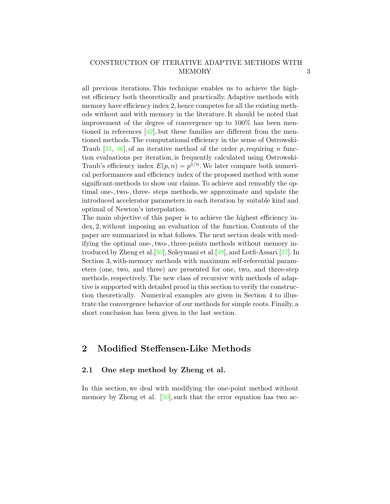all previous iterations. This technique enables us to achieve the highest efficiency both theoretically and practically. Adaptive methods with memory have efficiency index 2, hence competes for all the existing methods without and with memory in the literature. It should be noted that improvement of the degree of convergence up to 100% has been mentioned in references  $[42]$ , but these families are different from the mentioned methods. The computational efficiency in the sense of Ostrowski-Traub [\[31,](#page-29-0) [46\]](#page-30-0), of an iterative method of the order p, requiring n function evaluations per iteration, is frequently calculated using Ostrowski-Traub's efficiency index  $E(p, n) = p^{1/n}$ . We later compare both numerical performances and efficiency index of the proposed method with some significant-methods to show our claims. To achieve and remodify the optimal one-, two-, three- steps methods, we approximate and update the introduced accelerator parameters in each iteration by suitable kind and optimal of Newton's interpolation.

The main objective of this paper is to achieve the highest efficiency index, 2, without imposing an evaluation of the function. Contents of the paper are summarized in what follows. The next section deals with modifying the optimal one-, two-, three-points methods without memory introduced by Zheng et al.[\[50\]](#page-30-2), Soleymani et al.[\[39\]](#page-29-9), and Lotfi-Assari.[\[27\]](#page-28-9). In Section 3, with-memory methods with maximum self-referential parameters (one, two, and three) are presented for one, two, and three-step methods, respectively. The new class of recursive with methods of adaptive is supported with detailed proof in this section to verify the construction theoretically. Numerical examples are given in Section 4 to illustrate the convergence behavior of our methods for simple roots. Finally, a short conclusion has been given in the last section.

## 2 Modified Steffensen-Like Methods

#### 2.1 One step method by Zheng et al.

In this section, we deal with modifying the one-point method without memory by Zheng et al. [\[50\]](#page-30-2), such that the error equation has two ac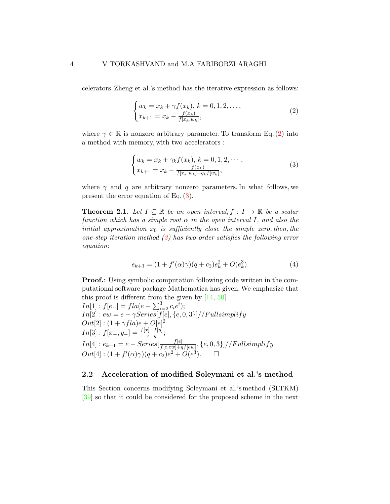celerators. Zheng et al.'s method has the iterative expression as follows:

<span id="page-3-0"></span>
$$
\begin{cases} w_k = x_k + \gamma f(x_k), \, k = 0, 1, 2, \dots, \\ x_{k+1} = x_k - \frac{f(x_k)}{f(x_k, w_k)}, \end{cases} \tag{2}
$$

where  $\gamma \in \mathbb{R}$  is nonzero arbitrary parameter. To transform Eq. [\(2\)](#page-3-0) into a method with memory, with two accelerators :

<span id="page-3-1"></span>
$$
\begin{cases} w_k = x_k + \gamma_k f(x_k), \ k = 0, 1, 2, \cdots, \\ x_{k+1} = x_k - \frac{f(x_k)}{f(x_k, w_k) + q_k f(w_k)}, \end{cases} \tag{3}
$$

where  $\gamma$  and q are arbitrary nonzero parameters. In what follows, we present the error equation of Eq.  $(3)$ .

<span id="page-3-2"></span>**Theorem 2.1.** Let  $I \subseteq \mathbb{R}$  be an open interval,  $f : I \to \mathbb{R}$  be a scalar function which has a simple root  $\alpha$  in the open interval I, and also the initial approximation  $x_0$  is sufficiently close the simple zero, then, the one-step iteration method  $(3)$  has two-order satisfies the following error equation:

<span id="page-3-3"></span>
$$
e_{k+1} = (1 + f'(\alpha)\gamma)(q + c_2)e_k^2 + O(e_k^3).
$$
 (4)

**Proof.:** Using symbolic computation following code written in the computational software package Mathematica has given.We emphasize that this proof is different from the given by [\[14,](#page-27-6) [50\]](#page-30-2).

 $In[1]: f[e_{-}] = fla(e + \sum_{i=2}^{3} c_{i}e^{i});$  $In [2]: ew = e + \gamma Series[f[e], \{e, 0, 3\}]/\sqrt{Fullsimplify}$  $Out[2] : (1 + \gamma f l a)e + O[e]^2$  $In[3]: f[x_-, y_-] = \frac{f[x] - f[y]}{x - y};$  $In[4]: e_{k+1}=e-Series[\frac{f[e]}{f[e,ew]+e}]$  $\frac{J[e]}{f[e,ew]+qf[ew]},\{e,0,3\}]/\!/Fullsimplify$  $Out[4] : (1 + f'(\alpha)\gamma)(q + c_2)e^2 + O(e^3).$ 

#### 2.2 Acceleration of modified Soleymani et al.'s method

This Section concerns modifying Soleymani et al.'s method (SLTKM) [\[39\]](#page-29-9) so that it could be considered for the proposed scheme in the next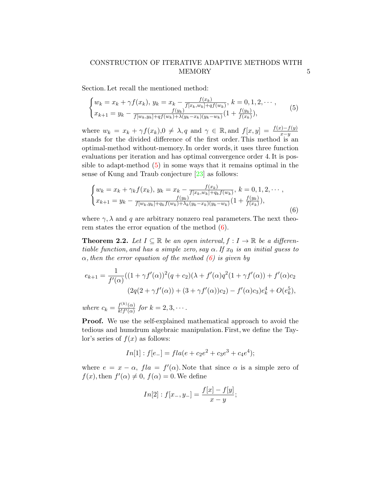Section. Let recall the mentioned method:

<span id="page-4-0"></span>
$$
\begin{cases} w_k = x_k + \gamma f(x_k), \ y_k = x_k - \frac{f(x_k)}{f[x_k, w_k] + qf(w_k)}, \ k = 0, 1, 2, \cdots, \\ x_{k+1} = y_k - \frac{f(y_k)}{f[w_k, y_k] + qf(w_k) + \lambda(y_k - x_k)(y_k - w_k)} (1 + \frac{f(y_k)}{f(x_k)}), \end{cases} \tag{5}
$$

where  $w_k = x_k + \gamma f(x_k)$ ,  $0 \neq \lambda$ , q and  $\gamma \in \mathbb{R}$ , and  $f[x, y] = \frac{f(x) - f(y)}{x - y}$ stands for the divided difference of the first order. This method is an optimal-method without-memory. In order words, it uses three function evaluations per iteration and has optimal convergence order 4. It is possible to adapt-method [\(5\)](#page-4-0) in some ways that it remains optimal in the sense of Kung and Traub conjecture [\[23\]](#page-28-1) as follows:

<span id="page-4-1"></span>
$$
\begin{cases} w_k = x_k + \gamma_k f(x_k), \ y_k = x_k - \frac{f(x_k)}{f[x_k, w_k] + q_k f(w_k)}, \ k = 0, 1, 2, \cdots, \\ x_{k+1} = y_k - \frac{f(y_k)}{f[w_k, y_k] + q_k f(w_k) + \lambda_k (y_k - x_k)(y_k - w_k)} (1 + \frac{f(y_k)}{f(x_k)}), \end{cases} \tag{6}
$$

where  $\gamma$ ,  $\lambda$  and q are arbitrary nonzero real parameters. The next theorem states the error equation of the method  $(6)$ .

**Theorem 2.2.** Let  $I \subseteq \mathbb{R}$  be an open interval,  $f : I \to \mathbb{R}$  be a differentiable function, and has a simple zero, say  $\alpha$ . If  $x_0$  is an initial guess to  $\alpha$ , then the error equation of the method [\(6\)](#page-4-1) is given by

$$
e_{k+1} = \frac{1}{f'(\alpha)}((1+\gamma f'(\alpha))^2(q+c_2)(\lambda+f'(\alpha)q^2(1+\gamma f'(\alpha)) + f'(\alpha)c_2)
$$
  

$$
(2q(2+\gamma f'(\alpha)) + (3+\gamma f'(\alpha))c_2) - f'(\alpha)c_3)e_k^4 + O(e_k^5),
$$

where  $c_k = \frac{f^{(k)}(\alpha)}{k! f'(\alpha)}$  $\frac{f^{(n)}(\alpha)}{k!f'(\alpha)}$  for  $k=2,3,\cdots$ .

Proof. We use the self-explained mathematical approach to avoid the tedious and humdrum algebraic manipulation. First, we define the Taylor's series of  $f(x)$  as follows:

$$
In[1]
$$
:  $f[e_{-}] = fla(e + c_2e^2 + c_3e^3 + c_4e^4);$ 

where  $e = x - \alpha$ ,  $f/a = f'(\alpha)$ . Note that since  $\alpha$  is a simple zero of  $f(x)$ , then  $f'(\alpha) \neq 0$ ,  $f(\alpha) = 0$ . We define

$$
In[2]: f[x_-, y_-] = \frac{f[x] - f[y]}{x - y};
$$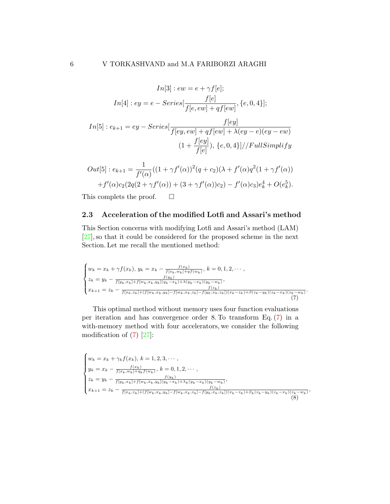$$
In[3]: ew = e + \gamma f[e];
$$
  
\n
$$
In[4]: ey = e - Series[\frac{f[e]}{f[e, ew] + qf[ew]}, \{e, 0, 4\}];
$$
  
\n
$$
In[5]: e_{k+1} = ey - Series[\frac{f[ey]}{f[ey, ew] + qf[ew] + \lambda(ey - e)(ey - ew)}
$$
  
\n
$$
(1 + \frac{f[ey]}{f[e]}, \{e, 0, 4\}]/FullSimplify
$$

$$
Out[5]: e_{k+1} = \frac{1}{f'(\alpha)}((1+\gamma f'(\alpha))^2(q+c_2)(\lambda + f'(\alpha)q^2(1+\gamma f'(\alpha)))
$$
  
+  $f'(\alpha)c_2(2q(2+\gamma f'(\alpha)) + (3+\gamma f'(\alpha))c_2) - f'(\alpha)c_3)e_k^4 + O(e_k^5).$ 

This complets the proof.  $\square$ 

#### 2.3 Acceleration of the modified Lotfi and Assari's method

This Section concerns with modifying Lotfi and Assari's method (LAM) [\[27\]](#page-28-9), so that it could be considered for the proposed scheme in the next Section. Let me recall the mentioned method:

<span id="page-5-0"></span>
$$
\begin{cases} w_k = x_k + \gamma f(x_k), \ y_k = x_k - \frac{f(x_k)}{f(x_k, w_k) + qf(w_k)}, \ k = 0, 1, 2, \cdots, \\ z_k = y_k - \frac{f(y_k)}{f(y_k, x_k) + f(w_k, x_k, y_k) + qf(w_k - x_k)(y_k - w_k)}, \\ x_{k+1} = z_k - \frac{f(x_k, y_k) + f(w_k, x_k, y_k) - f(w_k, x_k, z_k) - f(y_k, x_k, z_k) + \beta(z_k - y_k)(z_k - x_k)(z_k - w_k)}{f(x_k, z_k) + f(w_k, x_k, y_k) - f(w_k, x_k, z_k) - f(y_k, x_k, z_k) + \beta(z_k - y_k)(z_k - x_k)(z_k - w_k)}.\ \end{cases} \tag{7}
$$

This optimal method without memory uses four function evaluations per iteration and has convergence order 8. To transform Eq. [\(7\)](#page-5-0) in a with-memory method with four accelerators, we consider the following modification of  $(7)$  [\[27\]](#page-28-9):

<span id="page-5-1"></span>
$$
\begin{cases}\nw_k = x_k + \gamma_k f(x_k), \ k = 1, 2, 3, \cdots, \\
y_k = x_k - \frac{f(x_k)}{f(x_k, w_k) + q_k f(w_k)}, \ k = 0, 1, 2, \cdots, \\
z_k = y_k - \frac{f(y_k)}{f(y_k, x_k) + f(w_k, x_k, y_k) + q_k (y_k - x_k) + \lambda_k (y_k - x_k)(y_k - w_k)}, \\
x_{k+1} = z_k - \frac{f(x_k, x_k) + (f(w_k, x_k, y_k) - f(w_k, x_k, z_k) - f(y_k, x_k, z_k))}{f(x_k, x_k, y_k) + f(w_k, x_k, z_k) - f(y_k, x_k, z_k) + \beta_k (z_k - y_k)(z_k - x_k)(z_k - w_k)}\n\end{cases}
$$
\n(8)

,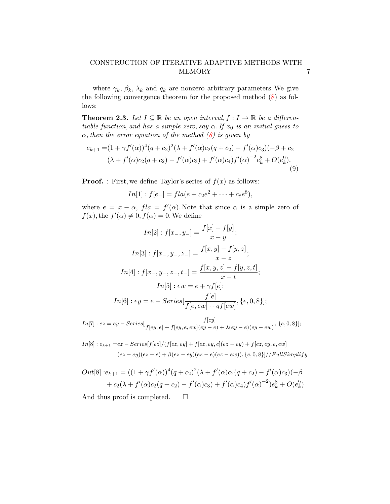where  $\gamma_k$ ,  $\beta_k$ ,  $\lambda_k$  and  $q_k$  are nonzero arbitrary parameters. We give the following convergence theorem for the proposed method  $(8)$  as follows:

**Theorem 2.3.** Let  $I \subseteq \mathbb{R}$  be an open interval,  $f : I \to \mathbb{R}$  be a differentiable function, and has a simple zero, say  $\alpha$ . If  $x_0$  is an initial guess to  $\alpha$ , then the error equation of the method  $(8)$  is given by

$$
e_{k+1} = (1 + \gamma f'(\alpha))^4 (q + c_2)^2 (\lambda + f'(\alpha)c_2(q + c_2) - f'(\alpha)c_3)(-\beta + c_2
$$
  

$$
(\lambda + f'(\alpha)c_2(q + c_2) - f'(\alpha)c_3) + f'(\alpha)c_4)f'(\alpha)^{-2}e_k^8 + O(e_k^9).
$$
  
(9)

**Proof.** : First, we define Taylor's series of  $f(x)$  as follows:

$$
In[1]
$$
:  $f[e_{-}] = fla(e + c_2e^2 + \cdots + c_8e^8),$ 

where  $e = x - \alpha$ ,  $f/a = f'(\alpha)$ . Note that since  $\alpha$  is a simple zero of  $f(x)$ , the  $f'(\alpha) \neq 0$ ,  $f(\alpha) = 0$ . We define

$$
In[2]: f[x_-, y_-] = \frac{f[x] - f[y]}{x - y};
$$
  
\n
$$
In[3]: f[x_-, y_-, z_-] = \frac{f[x, y] - f[y, z]}{x - z};
$$
  
\n
$$
In[4]: f[x_-, y_-, z_-, t_-] = \frac{f[x, y, z] - f[y, z, t]}{x - t};
$$
  
\n
$$
In[5]: ew = e + \gamma f[e];
$$
  
\n
$$
In[6]: ey = e - Series[\frac{f[e]}{f[e, ew] + qf[ew]}, \{e, 0, 8\}];
$$

$$
In[7]: ez = ey - Series[\frac{f[ey]}{f[ey,e]+f[ey,e,ew](ey-e)+\lambda(ey-e)(ey-ew)}, \{e, 0, 8\}];
$$

 $In[8]: e_{k+1} = ez - Series[f[ez]/(f[ez, ey] + f[ez, ey, e](ez - ey) + f[ez, ey, e, ew])$  $(ez - ey)(ez - e) + \beta(ez - ey)(ez - e)(ez - ew)), \{e, 0, 8\}]/FullSimplify$ 

$$
Out[8]:e_{k+1} = ((1+\gamma f'(\alpha))^4 (q+c_2)^2 (\lambda + f'(\alpha)c_2(q+c_2) - f'(\alpha)c_3)(-\beta + c_2(\lambda + f'(\alpha)c_2(q+c_2) - f'(\alpha)c_3) + f'(\alpha)c_4)f'(\alpha)^{-2})e_k^8 + O(e_k^9)
$$

And thus proof is completed.  $\square$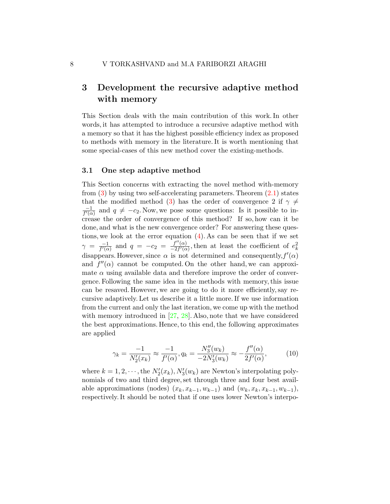# 3 Development the recursive adaptive method with memory

This Section deals with the main contribution of this work. In other words, it has attempted to introduce a recursive adaptive method with a memory so that it has the highest possible efficiency index as proposed to methods with memory in the literature. It is worth mentioning that some special-cases of this new method cover the existing-methods.

#### 3.1 One step adaptive method

This Section concerns with extracting the novel method with-memory from  $(3)$  by using two self-accelerating parameters. Theorem  $(2.1)$  states that the modified method [\(3\)](#page-3-1) has the order of convergence 2 if  $\gamma \neq$ −1  $\frac{-1}{f'(\alpha)}$  and  $q \neq -c_2$ . Now, we pose some questions: Is it possible to increase the order of convergence of this method? If so, how can it be done, and what is the new convergence order? For answering these questions, we look at the error equation [\(4\)](#page-3-3). As can be seen that if we set  $\gamma = \frac{-1}{f'(\alpha)}$  $\frac{-1}{f'(\alpha)}$  and  $q = -c_2 = \frac{f''(\alpha)}{-2f'(\alpha)}$  $\frac{f''(\alpha)}{-2f'(\alpha)}$ , then at least the coefficient of  $e_k^2$ disappears. However, since  $\alpha$  is not determined and consequently,  $f'(\alpha)$ and  $f''(\alpha)$  cannot be computed. On the other hand, we can approximate  $\alpha$  using available data and therefore improve the order of convergence. Following the same idea in the methods with memory, this issue can be resaved. However, we are going to do it more efficiently, say recursive adaptively. Let us describe it a little more. If we use information from the current and only the last iteration, we come up with the method with memory introduced in  $[27, 28]$  $[27, 28]$  $[27, 28]$ . Also, note that we have considered the best approximations. Hence, to this end, the following approximates are applied

$$
\gamma_k = \frac{-1}{N_2'(x_k)} \approx \frac{-1}{f'(\alpha)}, q_k = \frac{N_3''(w_k)}{-2N_3'(w_k)} \approx -\frac{f''(\alpha)}{2f'(\alpha)},\tag{10}
$$

where  $k = 1, 2, \dots$ , the  $N'_2(x_k)$ ,  $N'_3(w_k)$  are Newton's interpolating polynomials of two and third degree, set through three and four best available approximations (nodes)  $(x_k, x_{k-1}, w_{k-1})$  and  $(w_k, x_k, x_{k-1}, w_{k-1})$ , respectively. It should be noted that if one uses lower Newton's interpo-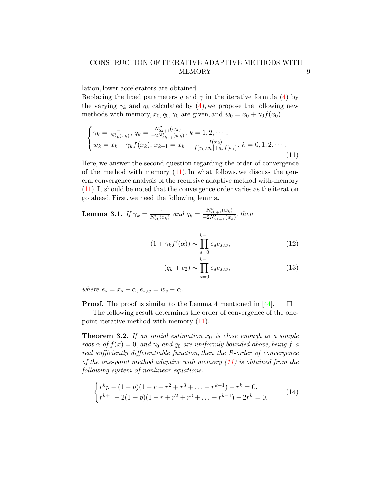lation, lower accelerators are obtained.

Replacing the fixed parameters q and  $\gamma$  in the iterative formula [\(4\)](#page-3-3) by the varying  $\gamma_k$  and  $q_k$  calculated by [\(4\)](#page-3-3), we propose the following new methods with memory,  $x_0, q_0, \gamma_0$  are given, and  $w_0 = x_0 + \gamma_0 f(x_0)$ 

<span id="page-8-0"></span>
$$
\begin{cases}\n\gamma_k = \frac{-1}{N'_{2k}(x_k)}, \ q_k = \frac{N''_{2k+1}(w_k)}{-2N'_{2k+1}(w_k)}, \ k = 1, 2, \cdots, \\
w_k = x_k + \gamma_k f(x_k), \ x_{k+1} = x_k - \frac{f(x_k)}{f(x_k, w_k) + q_k f(w_k)}, \ k = 0, 1, 2, \cdots.\n\end{cases}
$$
\n(11)

Here, we answer the second question regarding the order of convergence of the method with memory  $(11)$ . In what follows, we discuss the general convergence analysis of the recursive adaptive method with-memory [\(11\)](#page-8-0). It should be noted that the convergence order varies as the iteration go ahead. First, we need the following lemma.

<span id="page-8-1"></span>**Lemma 3.1.** If  $\gamma_k = \frac{-1}{N'_{2k}(x_k)}$  and  $q_k = \frac{N''_{2k+1}(w_k)}{-2N'_{2k+1}(w_k)}$  $\frac{N_{2k+1}(w_k)}{-2N'_{2k+1}(w_k)},$  then

$$
(1 + \gamma_k f'(\alpha)) \sim \prod_{s=0}^{k-1} e_s e_{s,w}, \qquad (12)
$$

$$
(q_k + c_2) \sim \prod_{s=0}^{k-1} e_s e_{s,w}, \qquad (13)
$$

where  $e_s = x_s - \alpha, e_{s,w} = w_s - \alpha$ .

**Proof.** The proof is similar to the Lemma 4 mentioned in [\[44\]](#page-30-4).  $\Box$ 

The following result determines the order of convergence of the onepoint iterative method with memory [\(11\)](#page-8-0).

**Theorem 3.2.** If an initial estimation  $x_0$  is close enough to a simple root  $\alpha$  of  $f(x) = 0$ , and  $\gamma_0$  and  $q_0$  are uniformly bounded above, being f a real sufficiently differentiable function, then the R-order of convergence of the one-point method adaptive with memory  $(11)$  is obtained from the following system of nonlinear equations.

<span id="page-8-2"></span>
$$
\begin{cases}\nr^k p - (1+p)(1+r+r^2+r^3+\ldots+r^{k-1}) - r^k = 0, \\
r^{k+1} - 2(1+p)(1+r+r^2+r^3+\ldots+r^{k-1}) - 2r^k = 0,\n\end{cases} (14)
$$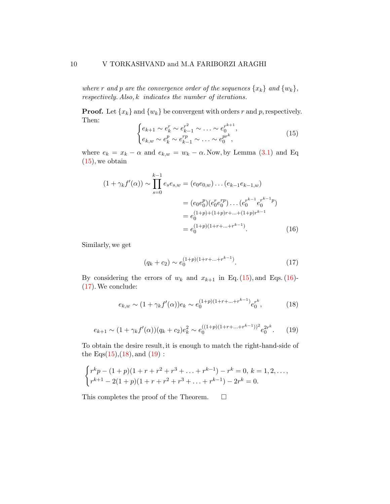where r and p are the convergence order of the sequences  $\{x_k\}$  and  $\{w_k\}$ , respectively. Also, k indicates the number of iterations.

**Proof.** Let  $\{x_k\}$  and  $\{w_k\}$  be convergent with orders r and p, respectively. Then:

<span id="page-9-0"></span>
$$
\begin{cases} e_{k+1} \sim e_k^r \sim e_{k-1}^{r^2} \sim \ldots \sim e_0^{r^{k+1}}, \\ e_{k,w} \sim e_k^p \sim e_{k-1}^{rp} \sim \ldots \sim e_0^{pr^k}, \end{cases} (15)
$$

where  $e_k = x_k - \alpha$  and  $e_{k,w} = w_k - \alpha$ . Now, by Lemma [\(3.1\)](#page-8-1) and Eq  $(15)$ , we obtain

$$
(1 + \gamma_k f'(\alpha)) \sim \prod_{s=0}^{k-1} e_s e_{s,w} = (e_0 e_{0,w}) \dots (e_{k-1} e_{k-1,w})
$$
  

$$
= (e_0 e_0^p) (e_0^r e_0^{rp}) \dots (e_0^{r^{k-1}} e_0^{r^{k-1} p})
$$
  

$$
= e_0^{(1+p)+(1+p)r+\dots+(1+p)r^{k-1}}
$$
  

$$
= e_0^{(1+p)(1+r+\dots+r^{k-1})}. \qquad (16)
$$

Similarly, we get

<span id="page-9-4"></span><span id="page-9-3"></span><span id="page-9-2"></span><span id="page-9-1"></span>
$$
(q_k + c_2) \sim e_0^{(1+p)(1+r+\ldots+r^{k-1})}.
$$
 (17)

By considering the errors of  $w_k$  and  $x_{k+1}$  in Eq. [\(15\)](#page-9-0), and Eqs. [\(16\)](#page-9-1)-[\(17\)](#page-9-2).We conclude:

$$
e_{k,w} \sim (1 + \gamma_k f'(\alpha)) e_k \sim e_0^{(1+p)(1+r+\ldots+r^{k-1})} e_0^{r^k},\tag{18}
$$

$$
e_{k+1} \sim (1 + \gamma_k f'(\alpha)) (q_k + c_2) e_k^2 \sim e_0^{((1+p)(1+r+\ldots+r^{k-1}))^2} e_0^{2r^k}.
$$
 (19)

To obtain the desire result, it is enough to match the right-hand-side of the Eqs $(15)$ , $(18)$ , and  $(19)$ :

$$
\begin{cases}\nr^k p - (1+p)(1+r+r^2+r^3+\ldots+r^{k-1}) - r^k = 0, \ k = 1,2,\ldots, \\
r^{k+1} - 2(1+p)(1+r+r^2+r^3+\ldots+r^{k-1}) - 2r^k = 0.\n\end{cases}
$$

This completes the proof of the Theorem.  $\Box$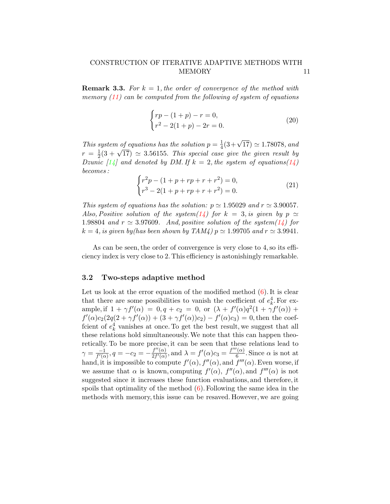**Remark 3.3.** For  $k = 1$ , the order of convergence of the method with memory  $(11)$  can be computed from the following of system of equations

$$
\begin{cases}\nrp - (1+p) - r = 0, \\
r^2 - 2(1+p) - 2r = 0.\n\end{cases}
$$
\n(20)

This system of equations has the solution  $p = \frac{1}{4}$  $\frac{1}{4}(3+\sqrt{17}) \simeq 1.78078$ , and  $r = \frac{1}{2}$ by seem by equations has the solution  $p = \frac{1}{4}(3 + \sqrt{11}) \approx 1.18018$ , and  $\frac{1}{2}(3 + \sqrt{17}) \approx 3.56155$ . This special case give the given result by Dzunic [\[14\]](#page-27-6) and denoted by DM. If  $k = 2$ , the system of equations[\(14\)](#page-8-2) becomes :

$$
\begin{cases}\nr^2p - (1 + p + rp + r + r^2) = 0, \\
r^3 - 2(1 + p + rp + r + r^2) = 0.\n\end{cases}
$$
\n(21)

This system of equations has the solution:  $p \approx 1.95029$  and  $r \approx 3.90057$ . Also, Positive solution of the system[\(14\)](#page-8-2) for  $k = 3$ , is given by  $p \simeq$ 1.98804 and  $r \approx 3.97609$ . And, positive solution of the system[\(14\)](#page-8-2) for  $k = 4$ , is given by(has been shown by TAM4)  $p \approx 1.99705$  and  $r \approx 3.9941$ .

As can be seen, the order of convergence is very close to 4, so its efficiency index is very close to 2. This efficiency is astonishingly remarkable.

#### 3.2 Two-steps adaptive method

Let us look at the error equation of the modified method  $(6)$ . It is clear that there are some possibilities to vanish the coefficient of  $e_k^4$ . For example, if  $1 + \gamma f'(\alpha) = 0, q + c_2 = 0$ , or  $(\lambda + f'(\alpha)q^2(1 + \gamma f'(\alpha)) + \gamma f'(\alpha)$  $f'(\alpha)c_2(2q(2+\gamma f'(\alpha)) + (3+\gamma f'(\alpha))c_2) - f'(\alpha)c_3) = 0$ , then the coeffcient of  $e_k^4$  vanishes at once. To get the best result, we suggest that all these relations hold simultaneously.We note that this can happen theoretically. To be more precise, it can be seen that these relations lead to  $\gamma = \frac{-1}{f'(\alpha)}$  $\frac{-1}{f'(\alpha)}, q = -c_2 = -\frac{f''(\alpha)}{2f'(\alpha)}$  $\frac{f''(\alpha)}{2f'(\alpha)}$ , and  $\lambda = f'(\alpha)c_3 = \frac{f'''(\alpha)}{6}$  $\frac{(\alpha)}{6}$ . Since  $\alpha$  is not at hand, it is impossible to compute  $f'(\alpha)$ ,  $f''(\alpha)$ , and  $f'''(\alpha)$ . Even worse, if we assume that  $\alpha$  is known, computing  $f'(\alpha)$ ,  $f''(\alpha)$ , and  $f'''(\alpha)$  is not suggested since it increases these function evaluations, and therefore, it spoils that optimality of the method  $(6)$ . Following the same idea in the methods with memory, this issue can be resaved. However, we are going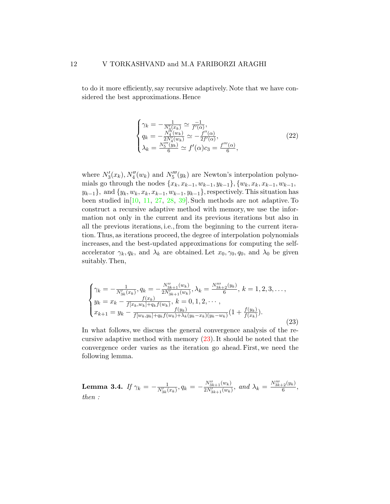to do it more efficiently, say recursive adaptively. Note that we have considered the best approximations. Hence

$$
\begin{cases}\n\gamma_k = -\frac{1}{N_3'(x_k)} \simeq \frac{-1}{f'(\alpha)},\\ \nq_k = -\frac{N_4''(w_k)}{2N_4'(w_k)} \simeq -\frac{f''(\alpha)}{2f'(\alpha)},\\ \n\lambda_k = \frac{N_5'''(y_k)}{6} \simeq f'(\alpha)c_3 = \frac{f'''(\alpha)}{6},\n\end{cases}
$$
\n(22)

where  $N'_3(x_k)$ ,  $N''_4(w_k)$  and  $N'''_5(y_k)$  are Newton's interpolation polynomials go through the nodes  $\{x_k, x_{k-1}, w_{k-1}, y_{k-1}\}$ ,  $\{w_k, x_k, x_{k-1}, w_{k-1},$  $y_{k-1}$ , and  $\{y_k, w_k, x_k, x_{k-1}, w_{k-1}, y_{k-1}\}$ , respectively. This situation has been studied in[\[10,](#page-27-4) [11,](#page-27-0) [27,](#page-28-9) [28,](#page-28-10) [39\]](#page-29-9). Such methods are not adaptive. To construct a recursive adaptive method with memory, we use the information not only in the current and its previous iterations but also in all the previous iterations, i.e., from the beginning to the current iteration. Thus, as iterations proceed, the degree of interpolation polynomials increases, and the best-updated approximations for computing the selfaccelerator  $\gamma_k, q_k$ , and  $\lambda_k$  are obtained. Let  $x_0, \gamma_0, q_0$ , and  $\lambda_0$  be given suitably. Then,

<span id="page-11-0"></span>
$$
\begin{cases}\n\gamma_k = -\frac{1}{N'_{3k}(x_k)}, q_k = -\frac{N''_{3k+1}(w_k)}{2N'_{3k+1}(w_k)}, \lambda_k = \frac{N''_{3k+2}(y_k)}{6}, k = 1, 2, 3, \dots, \\
y_k = x_k - \frac{f(x_k)}{f[x_k, w_k] + q_k f(w_k)}, k = 0, 1, 2, \dots, \\
x_{k+1} = y_k - \frac{f(y_k)}{f[w_k, y_k] + q_k f(w_k) + \lambda_k (y_k - x_k)(y_k - w_k)} \left(1 + \frac{f(y_k)}{f(x_k)}\right).\n\end{cases}
$$
\n(23)

In what follows, we discuss the general convergence analysis of the recursive adaptive method with memory [\(23\)](#page-11-0). It should be noted that the convergence order varies as the iteration go ahead. First, we need the following lemma.

<span id="page-11-1"></span>Lemma 3.4. If  $\gamma_k=-\frac{1}{N_{3k}'(x_k)}, q_k=-\frac{N_{3k+1}''(w_k)}{2N_{3k+1}'(w_k)}$  $\frac{N_{3k+1}''(w_k)}{2N_{3k+1}(w_k)}$ , and  $\lambda_k = \frac{N_{3k+2}''(y_k)}{6}$  $\frac{-2(9k)}{6},$ then :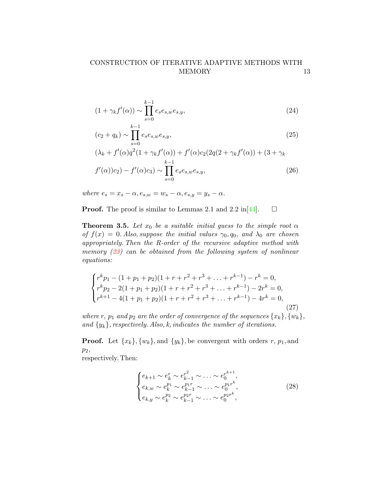$$
(1 + \gamma_k f'(\alpha)) \sim \prod_{s=0}^{k-1} e_s e_{s,w} e_{s,y},\tag{24}
$$

$$
(c_2 + q_k) \sim \prod_{s=0}^{k-1} e_s e_{s,w} e_{s,y},
$$
\n(25)

$$
(\lambda_k + f'(\alpha)q^2(1 + \gamma_k f'(\alpha)) + f'(\alpha)c_2(2q(2 + \gamma_k f'(\alpha)) + (3 + \gamma_kf'(\alpha))c_2) - f'(\alpha)c_3) \sim \prod_{s=0}^{k-1} e_s e_{s,w} e_{s,y},
$$
\n(26)

where  $e_s = x_s - \alpha$ ,  $e_{s,w} = w_s - \alpha$ ,  $e_{s,y} = y_s - \alpha$ .

**Proof.** The proof is similar to Lemmas 2.1 and 2.2 in [\[44\]](#page-30-4).  $\Box$ 

**Theorem 3.5.** Let  $x_0$  be a suitable initial guess to the simple root  $\alpha$ of  $f(x) = 0$ . Also, suppose the initial values  $\gamma_0, q_0,$  and  $\lambda_0$  are chosen appropriately. Then the R-order of the recursive adaptive method with memory  $(23)$  can be obtained from the following system of nonlinear equations:

<span id="page-12-0"></span>
$$
\begin{cases}\nr^k p_1 - (1 + p_1 + p_2)(1 + r + r^2 + r^3 + \dots + r^{k-1}) - r^k = 0, \\
r^k p_2 - 2(1 + p_1 + p_2)(1 + r + r^2 + r^3 + \dots + r^{k-1}) - 2r^k = 0, \\
r^{k+1} - 4(1 + p_1 + p_2)(1 + r + r^2 + r^3 + \dots + r^{k-1}) - 4r^k = 0,\n\end{cases}
$$
\n(27)

where r,  $p_1$  and  $p_2$  are the order of convergence of the sequences  $\{x_k\}, \{w_k\},\$ and  $\{y_k\}$ , respectively. Also, k, indicates the number of iterations.

**Proof.** Let  $\{x_k\}, \{w_k\}, \text{and } \{y_k\}$ , be convergent with orders r,  $p_1$ , and p2,

respectively. Then:

$$
\begin{cases} e_{k+1} \sim e_k^r \sim e_{k-1}^{r^2} \sim \ldots \sim e_0^{r^{k+1}}, \\ e_{k,w} \sim e_k^{p_1} \sim e_{k-1}^{p_1} \sim \ldots \sim e_0^{p_1 r^k}, \\ e_{k,y} \sim e_k^{p_2} \sim e_{k-1}^{p_2 r} \sim \ldots \sim e_0^{p_2 r^k}, \end{cases} (28)
$$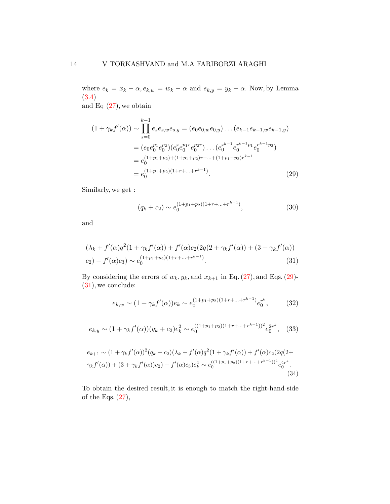where  $e_k = x_k - \alpha$ ,  $e_{k,w} = w_k - \alpha$  and  $e_{k,y} = y_k - \alpha$ . Now, by Lemma [\(3.4\)](#page-11-1)

and Eq  $(27)$ , we obtain

$$
(1 + \gamma_k f'(\alpha)) \sim \prod_{s=0}^{k-1} e_s e_{s,w} e_{s,y} = (e_0 e_{0,w} e_{0,y}) \dots (e_{k-1} e_{k-1,w} e_{k-1,y})
$$
  

$$
= (e_0 e_0^{p_1} e_0^{p_2}) (e_0^r e_0^{p_1 r} e_0^{p_2 r}) \dots (e_0^{r^{k-1}} e_0^{r^{k-1} p_1} e_0^{r^{k-1} p_2})
$$
  

$$
= e_0^{(1+p_1+p_2)+(1+p_1+p_2)r + \dots + (1+p_1+p_2)r^{k-1}}
$$
  

$$
= e_0^{(1+p_1+p_2)(1+r+\dots+r^{k-1})}.
$$
 (29)

Similarly, we get :

<span id="page-13-1"></span><span id="page-13-0"></span>
$$
(q_k + c_2) \sim e_0^{(1+p_1+p_2)(1+r+\ldots+r^{k-1})},\tag{30}
$$

and

$$
(\lambda_k + f'(\alpha)q^2(1 + \gamma_k f'(\alpha)) + f'(\alpha)c_2(2q(2 + \gamma_k f'(\alpha)) + (3 + \gamma_k f'(\alpha)))
$$
  

$$
c_2) - f'(\alpha)c_3) \sim e_0^{(1 + p_1 + p_2)(1 + r + \dots + r^{k-1})}.
$$
 (31)

By considering the errors of  $w_k, y_k$ , and  $x_{k+1}$  in Eq. [\(27\)](#page-12-0), and Eqs. [\(29\)](#page-13-0)-[\(31\)](#page-13-1), we conclude:

<span id="page-13-4"></span><span id="page-13-3"></span><span id="page-13-2"></span>
$$
e_{k,w} \sim (1 + \gamma_k f'(\alpha)) e_k \sim e_0^{(1+p_1+p_2)(1+r+\ldots+r^{k-1})} e_0^{r^k}, \tag{32}
$$

$$
e_{k,y} \sim (1 + \gamma_k f'(\alpha)) (q_k + c_2) e_k^2 \sim e_0^{((1 + p_1 + p_2)(1 + r + \dots + r^{k-1}))^2} e_0^{2r^k}, \quad (33)
$$

$$
e_{k+1} \sim (1 + \gamma_k f'(\alpha))^2 (q_k + c_2)(\lambda_k + f'(\alpha)q^2 (1 + \gamma_k f'(\alpha)) + f'(\alpha)c_2(2q(2 + \gamma_k f'(\alpha))) + (3 + \gamma_k f'(\alpha))c_2) - f'(\alpha)c_3)e_k^4 \sim e_0^{((1 + p_1 + p_2)(1 + r + \ldots + r^{k-1}))^4} e_0^{4r^k}.
$$
\n(34)

To obtain the desired result, it is enough to match the right-hand-side of the Eqs.  $(27)$ ,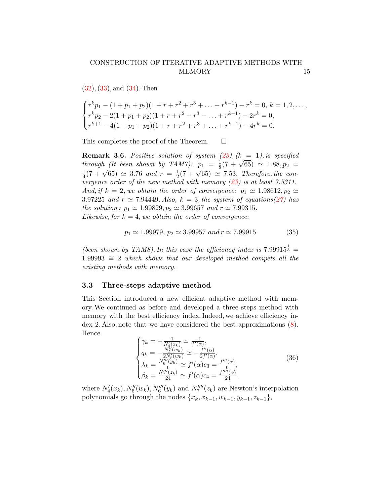[\(32\)](#page-13-2), [\(33\)](#page-13-3), and [\(34\)](#page-13-4). Then

$$
\begin{cases}\nr^k p_1 - (1 + p_1 + p_2)(1 + r + r^2 + r^3 + \dots + r^{k-1}) - r^k = 0, \ k = 1, 2, \dots, \\
r^k p_2 - 2(1 + p_1 + p_2)(1 + r + r^2 + r^3 + \dots + r^{k-1}) - 2r^k = 0, \\
r^{k+1} - 4(1 + p_1 + p_2)(1 + r + r^2 + r^3 + \dots + r^{k-1}) - 4r^k = 0.\n\end{cases}
$$

This completes the proof of the Theorem.  $\Box$ 

**Remark 3.6.** Positive solution of system  $(23)$ ,  $(k = 1)$ , is specified through (It been shown by TAM7):  $p_1 = \frac{1}{8}$  $(23)$ ,  $(K = 1)$ , is specified<br> $\frac{1}{8}(7 + \sqrt{65}) \approx 1.88, p_2 =$ 1  $\frac{1}{4}(7+\sqrt{65}) \simeq 3.76$  and  $r = \frac{1}{2}$  $p_1 - \frac{1}{8}(1 + \sqrt{65}) \approx 7.53$ . Therefore, the convergence order of the new method with memory  $(23)$  is at least 7.5311. And, if  $k = 2$ , we obtain the order of convergence:  $p_1 \approx 1.98612$ ,  $p_2 \approx$ 3.97225 and  $r \simeq 7.94449$ . Also,  $k = 3$ , the system of equations[\(27\)](#page-12-0) has the solution:  $p_1 \approx 1.99829, p_2 \approx 3.99657$  and  $r \approx 7.99315$ . Likewise, for  $k = 4$ , we obtain the order of convergence:

$$
p_1 \simeq 1.99979, \ p_2 \simeq 3.99957 \ and \ r \simeq 7.99915 \tag{35}
$$

(been shown by TAM8). In this case the efficiency index is  $7.99915^{\frac{1}{3}}$  =  $1.99993 \cong 2$  which shows that our developed method compets all the existing methods with memory.

#### 3.3 Three-steps adaptive method

This Section introduced a new efficient adaptive method with memory.We continued as before and developed a three steps method with memory with the best efficiency index. Indeed, we achieve efficiency index 2. Also, note that we have considered the best approximations [\(8\)](#page-5-1). Hence

$$
\begin{cases}\n\gamma_k = -\frac{1}{N_1'(x_k)} \simeq \frac{-1}{f'(\alpha)},\\ \nq_k = -\frac{N_5'(w_k)}{2N_5'(w_k)} \simeq -\frac{f''(\alpha)}{2f'(\alpha)},\\ \n\lambda_k = \frac{N_6''(y_k)}{6} \simeq f'(\alpha)c_3 = \frac{f'''(\alpha)}{6},\\ \n\beta_k = \frac{N_7'''(z_k)}{24} \simeq f'(\alpha)c_4 = \frac{f''''(\alpha)}{24}.\n\end{cases} (36)
$$

where  $N_4'(x_k)$ ,  $N_5''(w_k)$ ,  $N_6'''(y_k)$  and  $N_7''''(z_k)$  are Newton's interpolation polynomials go through the nodes  $\{x_k, x_{k-1}, w_{k-1}, y_{k-1}, z_{k-1}\},\$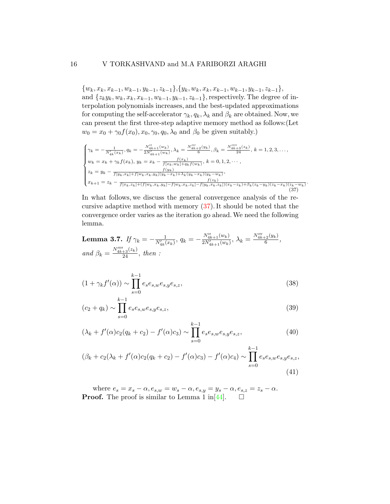#### 16 V TORKASHVAND and M.A FARIBORZI ARAGHI

 $\{w_k, x_k, x_{k-1}, w_{k-1}, y_{k-1}, z_{k-1}\}, \{y_k, w_k, x_k, x_{k-1}, w_{k-1}, y_{k-1}, z_{k-1}\},$ and  $\{z_k y_k, w_k, x_k, x_{k-1}, w_{k-1}, y_{k-1}, z_{k-1}\}$ , respectively. The degree of interpolation polynomials increases, and the best-updated approximations for computing the self-accelerator  $\gamma_k, q_k, \lambda_k$  and  $\beta_k$  are obtained. Now, we can present the first three-step adaptive memory method as follows:(Let  $w_0 = x_0 + \gamma_0 f(x_0), x_0, \gamma_0, q_0, \lambda_0$  and  $\beta_0$  be given suitably.)

<span id="page-15-0"></span>
$$
\begin{cases}\n\gamma_k = -\frac{1}{N'_{4k}(x_k)}, q_k = -\frac{N''_{4k+1}(w_k)}{2N'_{4k+1}(w_k)}, \lambda_k = \frac{N''_{4k+2}(y_k)}{6}, \beta_k = \frac{N''_{4k+3}(z_k)}{24}, k = 1, 2, 3, ..., \\
w_k = x_k + \gamma_k f(x_k), y_k = x_k - \frac{f(x_k)}{f(x_k, w_k) + q_k f(w_k)}, k = 0, 1, 2, ..., \\
z_k = y_k - \frac{f(y_k)}{f(y_k, x_k) + f(w_k, x_k, y_k)(y_k - x_k) + \lambda_k (y_k - x_k)(y_k - w_k)}, \\
x_{k+1} = z_k - \frac{f(x_k, z_k) + (f(w_k, x_k, y_k) - f(w_k, x_k, z_k) - f(y_k, x_k, z_k)(x_k - z_k) + \beta_k (z_k - y_k)(z_k - x_k)(z_k - w_k)}{f(x_k, z_k) + (f(w_k, x_k, y_k) - f(w_k, x_k, z_k) - f(y_k, x_k, z_k))(x_k - z_k) + \beta_k (z_k - y_k)(z_k - x_k)}\n\end{cases}
$$
\n(37)

.

In what follows, we discuss the general convergence analysis of the recursive adaptive method with memory [\(37\)](#page-15-0). It should be noted that the convergence order varies as the iteration go ahead.We need the following lemma.

<span id="page-15-1"></span>**Lemma 3.7.** If 
$$
\gamma_k = -\frac{1}{N'_{4k}(x_k)}
$$
,  $q_k = -\frac{N''_{4k+1}(w_k)}{2N'_{4k+1}(w_k)}$ ,  $\lambda_k = \frac{N''_{4k+2}(y_k)}{6}$ , and  $\beta_k = \frac{N''_{4k+3}(z_k)}{24}$ , then :

$$
(1 + \gamma_k f'(\alpha)) \sim \prod_{s=0}^{k-1} e_s e_{s,w} e_{s,y} e_{s,z},
$$
\n(38)

$$
(c_2 + q_k) \sim \prod_{s=0}^{k-1} e_s e_{s,w} e_{s,y} e_{s,z},
$$
\n(39)

$$
(\lambda_k + f'(\alpha)c_2(q_k + c_2) - f'(\alpha)c_3) \sim \prod_{s=0}^{k-1} e_s e_{s,w} e_{s,y} e_{s,z},
$$
\n(40)

$$
(\beta_k + c_2(\lambda_k + f'(\alpha)c_2(q_k + c_2) - f'(\alpha)c_3) - f'(\alpha)c_4) \sim \prod_{s=0}^{k-1} e_s e_{s,w} e_{s,y} e_{s,z},
$$
\n(41)

where  $e_s = x_s - \alpha, e_{s,w} = w_s - \alpha, e_{s,y} = y_s - \alpha, e_{s,z} = z_s - \alpha.$ **Proof.** The proof is similar to Lemma 1 in [\[44\]](#page-30-4).  $\Box$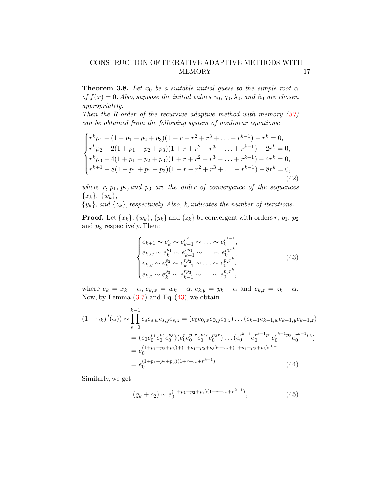**Theorem 3.8.** Let  $x_0$  be a suitable initial guess to the simple root  $\alpha$ of  $f(x) = 0$ . Also, suppose the initial values  $\gamma_0$ ,  $q_0$ ,  $\lambda_0$ , and  $\beta_0$  are chosen appropriately.

Then the R-order of the recursive adaptive method with memory  $(37)$ can be obtained from the following system of nonlinear equations:

<span id="page-16-2"></span>
$$
\begin{cases}\nr^k p_1 - (1 + p_1 + p_2 + p_3)(1 + r + r^2 + r^3 + \dots + r^{k-1}) - r^k = 0, \\
r^k p_2 - 2(1 + p_1 + p_2 + p_3)(1 + r + r^2 + r^3 + \dots + r^{k-1}) - 2r^k = 0, \\
r^k p_3 - 4(1 + p_1 + p_2 + p_3)(1 + r + r^2 + r^3 + \dots + r^{k-1}) - 4r^k = 0, \\
r^{k+1} - 8(1 + p_1 + p_2 + p_3)(1 + r + r^2 + r^3 + \dots + r^{k-1}) - 8r^k = 0, \\
(42)\n\end{cases}
$$

where  $r, p_1, p_2,$  and  $p_3$  are the order of convergence of the sequences  ${x_k}, {w_k},$ 

 $\{y_k\}$ , and  $\{z_k\}$ , respectively. Also, k, indicates the number of iterations.

**Proof.** Let  $\{x_k\}, \{w_k\}, \{y_k\}$  and  $\{z_k\}$  be convergent with orders r,  $p_1, p_2$ and  $p_3$  respectively. Then:

<span id="page-16-0"></span>
$$
\begin{cases} e_{k+1} \sim e_k^r \sim e_{k-1}^{r^2} \sim \ldots \sim e_0^{r^{k+1}}, \\ e_{k,w} \sim e_k^{p_1} \sim e_{k-1}^{rp_1} \sim \ldots \sim e_0^{p_1 r^k}, \\ e_{k,y} \sim e_k^{p_2} \sim e_{k-1}^{rp_2} \sim \ldots \sim e_0^{p_2 r^k}, \\ e_{k,z} \sim e_k^{p_3} \sim e_{k-1}^{rp_3} \sim \ldots \sim e_0^{p_3 r^k}, \end{cases} (43)
$$

where  $e_k = x_k - \alpha$ ,  $e_{k,w} = w_k - \alpha$ ,  $e_{k,y} = y_k - \alpha$  and  $e_{k,z} = z_k - \alpha$ . Now, by Lemma  $(3.7)$  and Eq.  $(43)$ , we obtain

$$
(1 + \gamma_k f'(\alpha)) \sim \prod_{s=0}^{k-1} e_s e_{s,w} e_{s,y} e_{s,z} = (e_0 e_{0,w} e_{0,y} e_{0,z}) \dots (e_{k-1} e_{k-1,w} e_{k-1,y} e_{k-1,z})
$$
  

$$
= (e_0 e_0^{p_1} e_0^{p_2} e_0^{p_3}) (e_0^r e_0^{p_1 r} e_0^{p_2 r} e_0^{p_3 r}) \dots (e_0^{r^{k-1}} e_0^{r^{k-1} p_1} e_0^{r^{k-1} p_2} e_0^{r^{k-1} p_3})
$$
  

$$
= e_0^{(1+p_1+p_2+p_3)+(1+p_1+p_2+p_3)r + \dots + (1+p_1+p_2+p_3)r^{k-1}}
$$
  

$$
= e_0^{(1+p_1+p_2+p_3)(1+r+ \dots + r^{k-1})}.
$$
 (44)

Similarly, we get

<span id="page-16-1"></span>
$$
(q_k + c_2) \sim e_0^{(1+p_1+p_2+p_3)(1+r+\ldots+r^{k-1})}, \qquad (45)
$$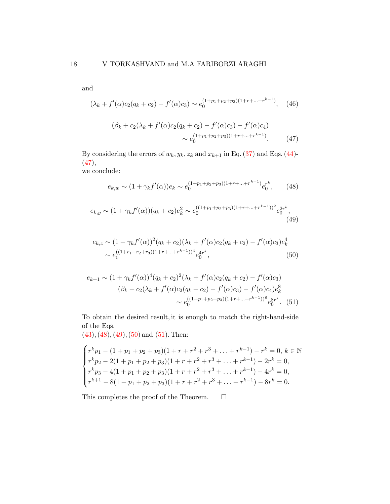and

$$
(\lambda_k + f'(\alpha)c_2(q_k + c_2) - f'(\alpha)c_3) \sim e_0^{(1+p_1+p_2+p_3)(1+r+\ldots+r^{k-1})}, \quad (46)
$$

<span id="page-17-0"></span>
$$
(\beta_k + c_2(\lambda_k + f'(\alpha)c_2(q_k + c_2) - f'(\alpha)c_3) - f'(\alpha)c_4)
$$
  
 
$$
\sim e_0^{(1+p_1+p_2+p_3)(1+r+...+r^{k-1})}.
$$
 (47)

By considering the errors of  $w_k, y_k, z_k$  and  $x_{k+1}$  in Eq. [\(37\)](#page-15-0) and Eqs. [\(44\)](#page-16-1)-[\(47\)](#page-17-0),

we conclude:

<span id="page-17-3"></span><span id="page-17-2"></span><span id="page-17-1"></span>
$$
e_{k,w} \sim (1 + \gamma_k f'(\alpha)) e_k \sim e_0^{(1+p_1+p_2+p_3)(1+r+\ldots+r^{k-1})} e_0^{r^k}, \qquad (48)
$$

$$
e_{k,y} \sim (1 + \gamma_k f'(\alpha))(q_k + c_2)e_k^2 \sim e_0^{((1+p_1+p_2+p_3)(1+r+\ldots+r^{k-1}))^2}e_0^{2r^k},\tag{49}
$$

$$
e_{k,z} \sim (1 + \gamma_k f'(\alpha))^2 (q_k + c_2)(\lambda_k + f'(\alpha)c_2(q_k + c_2) - f'(\alpha)c_3)e_k^4
$$
  
 
$$
\sim e_0^{((1+r_1+r_2+r_3)(1+r+...+r^{k-1}))^4} e_0^{4r^k}, \tag{50}
$$

<span id="page-17-4"></span>
$$
e_{k+1} \sim (1 + \gamma_k f'(\alpha))^4 (q_k + c_2)^2 (\lambda_k + f'(\alpha)c_2(q_k + c_2) - f'(\alpha)c_3)
$$
  

$$
(\beta_k + c_2(\lambda_k + f'(\alpha)c_2(q_k + c_2) - f'(\alpha)c_3) - f'(\alpha)c_4)e_k^8
$$
  

$$
\sim e_0^{((1+p_1+p_2+p_3)(1+r+...+r^{k-1}))^8} e_0^{8r^k}.
$$
 (51)

To obtain the desired result, it is enough to match the right-hand-side of the Eqs.

 $(43), (48), (49), (50)$  $(43), (48), (49), (50)$  $(43), (48), (49), (50)$  $(43), (48), (49), (50)$  $(43), (48), (49), (50)$  $(43), (48), (49), (50)$  $(43), (48), (49), (50)$  and  $(51)$ . Then:

$$
\begin{cases}\nr^k p_1 - (1 + p_1 + p_2 + p_3)(1 + r + r^2 + r^3 + \dots + r^{k-1}) - r^k = 0, \ k \in \mathbb{N} \\
r^k p_2 - 2(1 + p_1 + p_2 + p_3)(1 + r + r^2 + r^3 + \dots + r^{k-1}) - 2r^k = 0, \\
r^k p_3 - 4(1 + p_1 + p_2 + p_3)(1 + r + r^2 + r^3 + \dots + r^{k-1}) - 4r^k = 0, \\
r^{k+1} - 8(1 + p_1 + p_2 + p_3)(1 + r + r^2 + r^3 + \dots + r^{k-1}) - 8r^k = 0.\n\end{cases}
$$

This completes the proof of the Theorem.  $\Box$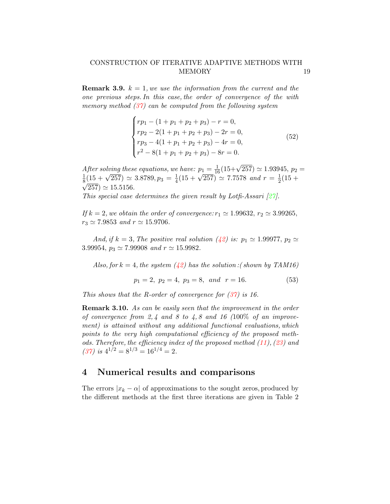**Remark 3.9.**  $k = 1$ , we use the information from the current and the one previous steps. In this case, the order of convergence of the with memory method  $(37)$  can be computed from the following system

$$
\begin{cases}\nrp_1 - (1 + p_1 + p_2 + p_3) - r = 0, \\
rp_2 - 2(1 + p_1 + p_2 + p_3) - 2r = 0, \\
rp_3 - 4(1 + p_1 + p_2 + p_3) - 4r = 0, \\
r^2 - 8(1 + p_1 + p_2 + p_3) - 8r = 0.\n\end{cases}
$$
\n(52)

After solving these equations, we have:  $p_1 = \frac{1}{16}(15+\sqrt{257}) \simeq 1.93945$ ,  $p_2 =$ 1 After solving these equations, we<br>  $\frac{1}{8}(15 + \sqrt{257}) \simeq 3.8789, p_3 = \frac{1}{4}$  $\frac{1}{4}(15 + \sqrt{257}) \simeq 7.7578$  and  $r = \frac{1}{2}$  $\frac{1}{8}$ (15 +  $\sqrt{257}$ )  $\simeq$  3.8789,  $p_3 = \frac{1}{4}$ (15 +  $\sqrt{257}$ )  $\simeq$  7.7578 and  $r = \frac{1}{2}$ (15 +  $\sqrt{257}$   $\simeq$  15.5156.

This special case determines the given result by Lotfi-Assari  $[27]$ .

If  $k = 2$ , we obtain the order of convergence:  $r_1 \approx 1.99632$ ,  $r_2 \approx 3.99265$ ,  $r_3 \simeq 7.9853$  and  $r \simeq 15.9706$ .

And, if  $k = 3$ , The positive real solution [\(42\)](#page-16-2) is:  $p_1 \simeq 1.99977$ ,  $p_2 \simeq$ 3.99954,  $p_3 \simeq 7.99908$  and  $r \simeq 15.9982$ .

Also, for  $k = 4$ , the system [\(42\)](#page-16-2) has the solution : (shown by TAM16)

$$
p_1 = 2, \ p_2 = 4, \ p_3 = 8, \ and \ r = 16. \tag{53}
$$

This shows that the R-order of convergence for  $(37)$  is 16.

**Remark 3.10.** As can be easily seen that the improvement in the order of convergence from 2, 4 and 8 to 4, 8 and 16  $(100\% \text{ of an improve-}$ ment) is attained without any additional functional evaluations, which points to the very high computational efficiency of the proposed methods. Therefore, the efficiency index of the proposed method  $(11)$ ,  $(23)$  and [\(37\)](#page-15-0) is  $4^{1/2} = 8^{1/3} = 16^{1/4} = 2$ .

## 4 Numerical results and comparisons

The errors  $|x_k - \alpha|$  of approximations to the sought zeros, produced by the different methods at the first three iterations are given in Table 2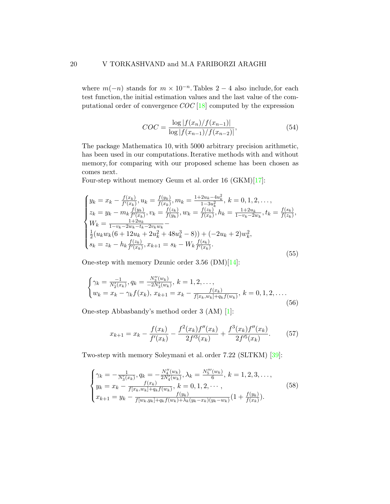where  $m(-n)$  stands for  $m \times 10^{-n}$ . Tables 2 – 4 also include, for each test function, the initial estimation values and the last value of the computational order of convergence  $COC$  [\[18\]](#page-27-9) computed by the expression

$$
COC = \frac{\log|f(x_n)/f(x_{n-1})|}{\log|f(x_{n-1})/f(x_{n-2})|},\tag{54}
$$

The package Mathematica 10, with 5000 arbitrary precision arithmetic, has been used in our computations. Iterative methods with and without memory, for comparing with our proposed scheme has been chosen as comes next.

Four-step without memory Geum et al. order 16 (GKM)[\[17\]](#page-27-2):

$$
\begin{cases}\ny_k = x_k - \frac{f(x_k)}{f'(x_k)}, u_k = \frac{f(y_k)}{f(x_k)}, m_k = \frac{1+2u_k - 4u_k^2}{1-3u_k^2}, k = 0, 1, 2, \dots, \\
z_k = y_k - m_k \frac{f(y_k)}{f'(x_k)}, v_k = \frac{f(z_k)}{f(y_k)}, w_k = \frac{f(z_k)}{f(x_k)}, h_k = \frac{1+2u_k}{1-v_k - 2w_k}, t_k = \frac{f(s_k)}{f(z_k)}, \\
W_k = \frac{1+2u_k}{1-v_k - 2w_k - t_k - 2v_k w_k} - \\
\frac{1}{2}(u_k w_k (6 + 12u_k + 2u_k^2 + 48u_k^3 - 8)) + (-2u_k + 2)w_k^2, \\
s_k = z_k - h_k \frac{f(z_k)}{f'(x_k)}, x_{k+1} = s_k - W_k \frac{f(s_k)}{f'(x_k)}.\n\end{cases} \tag{55}
$$

One-step with memory Dzunic order 3.56 (DM)[\[14\]](#page-27-6):

$$
\begin{cases}\n\gamma_k = \frac{-1}{N_2'(x_k)}, q_k = \frac{N_3''(w_k)}{-2N_3'(w_k)}, k = 1, 2, ..., \\
w_k = x_k - \gamma_k f(x_k), x_{k+1} = x_k - \frac{f(x_k)}{f(x_k, w_k) + q_k f(w_k)}, k = 0, 1, 2, .... \n\end{cases}
$$
\n(56)

One-step Abbasbandy's method order 3 (AM) [\[1\]](#page-26-0):

$$
x_{k+1} = x_k - \frac{f(x_k)}{f'(x_k)} - \frac{f^2(x_k)f''(x_k)}{2f'^3(x_k)} + \frac{f^3(x_k)f''(x_k)}{2f'^5(x_k)}.
$$
 (57)

Two-step with memory Soleymani et al. order 7.22 (SLTKM) [\[39\]](#page-29-9):

$$
\begin{cases}\n\gamma_k = -\frac{1}{N_3'(x_k)}, q_k = -\frac{N_4''(w_k)}{2N_4'(w_k)}, \lambda_k = \frac{N_5'''(w_k)}{6}, k = 1, 2, 3, \dots, \\
y_k = x_k - \frac{f(x_k)}{f(x_k, w_k) + q_k f(w_k)}, k = 0, 1, 2, \dots, \\
x_{k+1} = y_k - \frac{f(y_k)}{f(w_k, y_k) + q_k f(w_k) + \lambda_k (y_k - x_k)(y_k - w_k)}(1 + \frac{f(y_k)}{f(x_k)}).\n\end{cases}
$$
\n(58)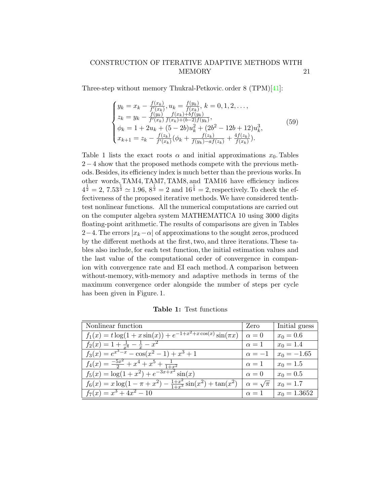Three-step without memory Thukral-Petkovic. order 8 (TPM)[\[41\]](#page-29-7):

$$
\begin{cases}\ny_k = x_k - \frac{f(x_k)}{f'(x_k)}, u_k = \frac{f(y_k)}{f(x_k)}, k = 0, 1, 2, \dots, \\
z_k = y_k - \frac{f(y_k)}{f'(x_k)} \frac{f(x_k) + bf(y_k)}{f(x_k) + (b-2)f(y_k)}, \\
\phi_k = 1 + 2u_k + (5 - 2b)u_k^2 + (2b^2 - 12b + 12)u_k^3, \\
x_{k+1} = z_k - \frac{f(z_k)}{f'(x_k)}(\phi_k + \frac{f(z_k)}{f(y_k) - af(z_k)} + \frac{4f(z_k)}{f(x_k)}).\n\end{cases} (59)
$$

Table 1 lists the exact roots  $\alpha$  and initial approximations  $x_0$ . Tables 2−4 show that the proposed methods compete with the previous methods. Besides, its efficiency index is much better than the previous works. In other words, TAM4, TAM7, TAM8, and TAM16 have efficiency indices  $4^{\frac{1}{2}} = 2, 7.53^{\frac{1}{3}} \approx 1.96, 8^{\frac{1}{3}} = 2$  and  $16^{\frac{1}{4}} = 2$ , respectively. To check the effectiveness of the proposed iterative methods.We have considered tenthtest nonlinear functions. All the numerical computations are carried out on the computer algebra system MATHEMATICA 10 using 3000 digits floating-point arithmetic. The results of comparisons are given in Tables 2−4. The errors  $|x_k-\alpha|$  of approximations to the sought zeros, produced by the different methods at the first, two, and three iterations. These tables also include, for each test function, the initial estimation values and the last value of the computational order of convergence in companion with convergence rate and EI each method. A comparison between without-memory, with-memory and adaptive methods in terms of the maximum convergence order alongside the number of steps per cycle has been given in Figure. 1.

| Nonlinear function                                                           | Zero                  | Initial guess  |
|------------------------------------------------------------------------------|-----------------------|----------------|
| $f_1(x) = t \log(1 + x \sin(x)) + e^{-1 + x^2 + x \cos(x)} \sin(\pi x)$      | $\alpha = 0$          | $x_0 = 0.6$    |
| $f_2(x) = 1 + \frac{1}{x^4} - \frac{1}{x} - x^2$                             | $\alpha=1$            | $x_0 = 1.4$    |
| $f_3(x) = e^{x^3 - x} - \cos(x^2 - 1) + x^3 + 1$                             | $\alpha = -1$         | $x_0 = -1.65$  |
| $f_4(x) = \frac{-5x^2}{2} + x^4 + x^5 + \frac{1}{1+x^2}$                     | $\alpha=1$            | $x_0 = 1.5$    |
| $f_5(x) = \log(1 + x^2) + e^{-3x + x^2} \sin(x)$                             | $\alpha = 0$          | $x_0 = 0.5$    |
| $f_6(x) = x \log(1 - \pi + x^2) - \frac{1+x^2}{1+x^3} \sin(x^2) + \tan(x^2)$ | $\alpha = \sqrt{\pi}$ | $x_0 = 1.7$    |
| $f_7(x) = x^3 + 4x^2 - 10$                                                   | $\alpha=1$            | $x_0 = 1.3652$ |

Table 1: Test functions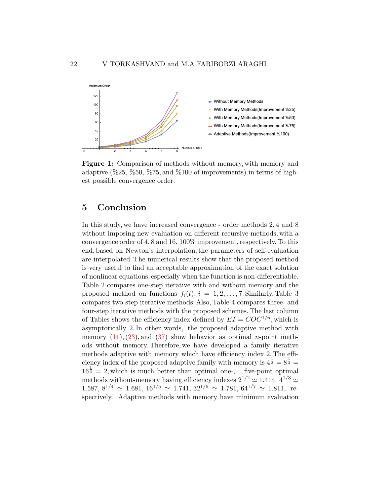

Figure 1: Comparison of methods without memory, with memory and adaptive  $(\% 25, \% 50, \% 75, \text{ and } \% 100 \text{ of improvements})$  in terms of highest possible convergence order.

# 5 Conclusion

In this study, we have increased convergence - order methods 2, 4 and 8 without imposing new evaluation on different recursive methods, with a convergence order of 4, 8 and 16, 100% improvement, respectively. To this end, based on Newton's interpolation, the parameters of self-evaluation are interpolated. The numerical results show that the proposed method is very useful to find an acceptable approximation of the exact solution of nonlinear equations, especially when the function is non-differentiable. Table 2 compares one-step iterative with and without memory and the proposed method on functions  $f_i(t)$ ,  $i = 1, 2, \ldots, 7$ . Similarly, Table 3 compares two-step iterative methods. Also, Table 4 compares three- and four-step iterative methods with the proposed schemes. The last column of Tables shows the efficiency index defined by  $EI = COC^{1/n}$ , which is asymptotically 2. In other words, the proposed adaptive method with memory  $(11)$ ,  $(23)$ , and  $(37)$  show behavior as optimal *n*-point methods without memory. Therefore, we have developed a family iterative methods adaptive with memory which have efficiency index 2. The efficiency index of the proposed adaptive family with memory is  $4^{\frac{1}{2}} = 8^{\frac{1}{3}} =$  $16^{\frac{1}{4}} = 2$ , which is much better than optimal one-,..., five-point optimal methods without-memory having efficiency indexes  $2^{1/2} \simeq 1.414, 4^{1/3} \simeq$  $1.587, 8^{1/4} \simeq 1.681, 16^{1/5} \simeq 1.741, 32^{1/6} \simeq 1.781, 64^{1/7} \simeq 1.811,$  respectively. Adaptive methods with memory have minimum evaluation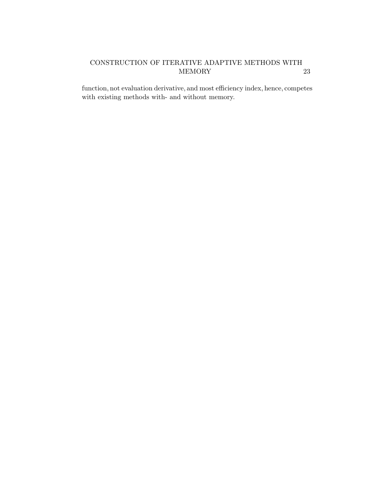function, not evaluation derivative, and most efficiency index, hence, competes with existing methods with- and without memory.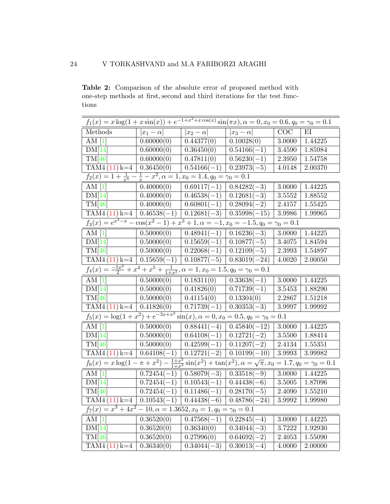Table 2: Comparison of the absolute error of proposed method with one-step methods at first, second and third iterations for the test functions

| $f_1(x) = x \log(1 + x \sin(x)) + e^{-1 + x^2 + x \cos(x)} \sin(\pi x), \alpha = 0, x_0 = 0.6, q_0 = \gamma_0 = 0.1$               |                 |                                                                  |                          |            |         |
|------------------------------------------------------------------------------------------------------------------------------------|-----------------|------------------------------------------------------------------|--------------------------|------------|---------|
| Methods                                                                                                                            | $ x_1-\alpha $  | $ x_2-\alpha $                                                   | $ x_3-\alpha $           | COC        | ΕI      |
| AM $[1]$                                                                                                                           | 0.60000(0)      | 0.44377(0)                                                       | 0.10028(0)               | 3.0000     | 1.44225 |
| DM[14]                                                                                                                             | 0.60000(0)      | 0.36450(0)                                                       | $0.54166(-1)$            | 3.4590     | 1.85984 |
| TM[46]                                                                                                                             | 0.60000(0)      | 0.47811(0)                                                       | $0.56230(-1)$            | 2.3950     | 1.54758 |
| $TAM4(11) k=4$                                                                                                                     | 0.36450(0)      | $0.54166(-1)$                                                    | $0.23973(-5)$            | 4.0148     | 2.00370 |
| $f_2(x) = 1 + \frac{1}{x^4}$                                                                                                       |                 | $\frac{1}{x} - x^2, \alpha = 1, x_0 = 1.4, q_0 = \gamma_0 = 0.1$ |                          |            |         |
| AM $[1]$                                                                                                                           | 0.40000(0)      | $0.69117(-1)$                                                    | $0.84282(-3)$            | $3.0000\,$ | 1.44225 |
| DM[14]                                                                                                                             | 0.40000(0)      | $0.46538(-1)$                                                    | $0.12681(-3)$            | $3.5552\,$ | 1.88552 |
| TM[46]                                                                                                                             | 0.40000(0)      | $0.60801(-1)$                                                    | $0.28094(-2)$            | 2.4157     | 1.55425 |
| $TAM4(11) k=4 \mid 0.46538(-1)$                                                                                                    |                 | $0.12681(-3)$                                                    | $0.35998(-15)$           | 3.9986     | 1.99965 |
| $f_3(x) = e^{x^3 - x} - \cos(x^2 - 1) + x^3 + 1, \alpha = -1, x_0 = -1.5, q_0 = \gamma_0 = 0.1$                                    |                 |                                                                  |                          |            |         |
| AM $[1]$                                                                                                                           | 0.50000(0)      | $0.48941(-1)$                                                    | $0.16236(-3)$            | 3.0000     | 1.44225 |
| DM[14]                                                                                                                             | 0.50000(0)      | $\overline{0.1}5659(-1)$                                         | $0.10877(-5)$            | 3.4075     | 1.84594 |
| TM[46]                                                                                                                             | 0.50000(0)      | $0.22068(-1)$                                                    | $0.12109(-5)$            | 2.3993     | 1.54897 |
| $TAM4(11) k=4$                                                                                                                     | $  0.15659(-1)$ | $0.10877(-5)$                                                    | $0.83019(-24)$           | 4.0020     | 2.00050 |
| $f_4(x) = \frac{-5x^2}{2} + x^4 + x^5 + \frac{1}{1+x^2}$ , $\alpha = 1$ , $x_0 = 1.5$ , $q_0 = \gamma_0 = 0.1$                     |                 |                                                                  |                          |            |         |
| AM <sub>1</sub>                                                                                                                    | 0.50000(0)      | 0.18311(0)                                                       | $0.33638(-1)$            | 3.0000     | 1.44225 |
| DM[14]                                                                                                                             | 0.50000(0)      | 0.41826(0)                                                       | $0.71739(-1)$            | 3.5453     | 1.88290 |
| TM[46]                                                                                                                             | 0.50000(0)      | 0.41154(0)                                                       | 0.13304(0)               | 2.2867     | 1.51218 |
| $TAM4(11) k=4$                                                                                                                     | 0.41826(0)      | $0.71739(-1)$                                                    | $\overline{0.30353(-3)}$ | 3.9997     | 1.99992 |
| $f_5(x) = \log(1+x^2) + e^{-3x+x^2}\sin(x), \alpha = 0, x_0 = 0.5, q_0 = \gamma_0 = 0.1$                                           |                 |                                                                  |                          |            |         |
| $\overline{\text{AM}$ [1]                                                                                                          | 0.50000(0)      | $0.88441(-4)$                                                    | $0.45840(-12)$           | 3.0000     | 1.44225 |
| DM[14]                                                                                                                             | 0.50000(0)      | $0.64108(-1)$                                                    | $0.12721(-2)$            | $3.5500\,$ | 1.88414 |
| TM[46]                                                                                                                             | 0.50000(0)      | $0.42599(-1)$                                                    | $0.11207(-2)$            | 2.4134     | 1.55351 |
| $TAM4(11) k=4$                                                                                                                     | $  0.64108(-1)$ | $0.12721(-2)$                                                    | $0.10199(-10)$           | 3.9993     | 3.99982 |
| $f_6(x) = x \log(1 - \pi + x^2) - \frac{1+x^2}{1+x^3} \sin(x^2) + \tan(x^2), \alpha = \sqrt{\pi}, x_0 = 1.7, q_0 = \gamma_0 = 0.1$ |                 |                                                                  |                          |            |         |
| $\overline{\rm AM}$ [1]                                                                                                            | $0.72454(-1)$   | $0.58079(-3)$                                                    | $0.33518(-9)$            | 3.0000     | 1.44225 |
| DM[14]                                                                                                                             | $0.72454(-1)$   | $0.10543(-1)$                                                    | $0.44438(-6)$            | $3.5005\,$ | 1.87096 |
| TM[46]                                                                                                                             | $0.72454(-1)$   | $0.11486(-1)$                                                    | $0.28170(-5)$            | 2.4090     | 1.55210 |
| TAM4 $(11)$ k=4   0.10543(-1)   0.44438(-6)                                                                                        |                 |                                                                  | $0.48786(-24)$           | 3.9992     | 1.99980 |
| $f_7(x) = x^3 + 4x^2 - 10, \alpha = 1.3652, x_0 = 1, q_0 = \gamma_0 = 0.1$                                                         |                 |                                                                  |                          |            |         |
| AM $[1]$                                                                                                                           | 0.36520(0)      | $0.47568(-1)$                                                    | $0.22845(-4)$            | 3.0000     | 1.44225 |
| DM[14]                                                                                                                             | 0.36520(0)      | 0.36340(0)                                                       | $0.34044(-3)$            | 3.7222     | 1.92930 |
| TM[46]                                                                                                                             | 0.36520(0)      | 0.27996(0)                                                       | $0.64692(-2)$            | 2.4053     | 1.55090 |
| $TAM4(11) k=4$                                                                                                                     | 0.36340(0)      | $0.34044(-3)$                                                    | $0.30013(-4)$            | 4.0000     | 2.00000 |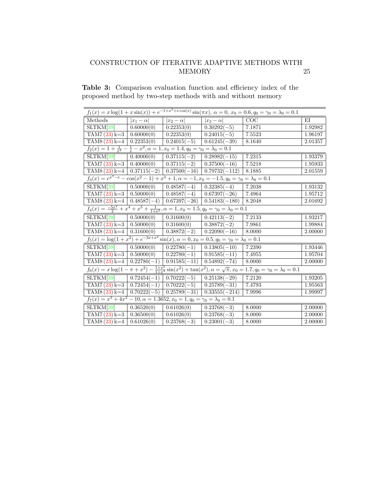Table 3: Comparison evaluation function and efficiency index of the proposed method by two-step methods with and without memory

| $f_1(x) = x \log(1 + x \sin(x)) + e^{-1 + x^2 + x \cos(x)} \sin(\pi x), \ \alpha = 0, x_0 = 0.6, q_0 = \gamma_0 = \lambda_0 = 0.1$             |                                                                                                                              |                              |                              |                  |         |  |
|------------------------------------------------------------------------------------------------------------------------------------------------|------------------------------------------------------------------------------------------------------------------------------|------------------------------|------------------------------|------------------|---------|--|
| Methods                                                                                                                                        | $ x_1-\alpha $                                                                                                               | $ x_2-\alpha $               | $\overline{ x_3-\alpha }$    | $\overline{COC}$ | ΕI      |  |
| SLTKM[39]                                                                                                                                      | 0.60000(0)                                                                                                                   | 0.22353(0)                   | $0.30292(-5)$                | 7.1871           | 1.92982 |  |
| $TAM7(23) k=3$                                                                                                                                 | $\boxed{0.60000(0)}$                                                                                                         | 0.22353(0)                   | $0.24015(-5)$                | 7.5523           | 1.96197 |  |
| $TAM8(23) k=4$                                                                                                                                 | 0.22353(0)                                                                                                                   | $0.24015(-5)$ 0.61245(-39)   |                              | 8.1640           | 2.01357 |  |
| $f_2(x) = 1 + \frac{1}{x^4} - \frac{1}{x} - x^2, \alpha = 1, x_0 = 1.4, q_0 = \gamma_0 = \lambda_0 = 0.1$                                      |                                                                                                                              |                              |                              |                  |         |  |
| SLTKM[39]                                                                                                                                      | 0.40000(0)                                                                                                                   | $\overline{0.37115(-2)}$     | $0.28982(-15)$               | 7.2315           | 1.93379 |  |
| $TAM7(23) k=3$ 0.40000(0)                                                                                                                      |                                                                                                                              | $0.37115(-2)$ $0.37500(-16)$ |                              | 7.5218           | 1.95933 |  |
| TAM8 (23) k=4   $0.37115(-2)$   $0.37500(-16)$   $0.79732(-112)$                                                                               |                                                                                                                              |                              |                              | 8.1885           | 2.01559 |  |
| $f_3(x) = e^{x^3 - x} - \cos(x^2 - 1) + x^3 + 1, \alpha = -1, x_0 = -1.5, q_0 = \gamma_0 = \lambda_0 = 0.1$                                    |                                                                                                                              |                              |                              |                  |         |  |
| $SLTKM[39] \qquad 0.50000(0)$                                                                                                                  |                                                                                                                              | $0.48587(-4)$ $0.32385(-4)$  |                              | 7.2038           | 1.93132 |  |
| $TAM7(23) k=3$ 0.50000(0)                                                                                                                      |                                                                                                                              |                              | $0.48587(-4)$ 0.67397(-26)   | 7.4964           | 1.95712 |  |
| TAM8 $(23)$ k=4 $\boxed{0.48587(-4) \left[0.67397(-26)\right] 0.54183(-180)}$                                                                  |                                                                                                                              |                              |                              | 8.2048           | 2.01692 |  |
|                                                                                                                                                | $\overline{f_4(x)} = \frac{-5x^2}{2} + x^4 + x^5 + \frac{1}{1+x^2}, \alpha = 1, x_0 = 1.5, q_0 = \gamma_0 = \lambda_0 = 0.1$ |                              |                              |                  |         |  |
| SLTKM[39]                                                                                                                                      | 0.50000(0)                                                                                                                   | 0.31600(0)                   | $0.42113(-2)$                | 7.2133           | 1.93217 |  |
| $TAM7(23) k=3$ 0.50000(0)                                                                                                                      |                                                                                                                              | 0.31600(0)                   | $\mid 0.38872(-2)\mid$       | 7.9861           | 1.99884 |  |
| $TAM8 (23) k=4$                                                                                                                                | 0.31600(0)                                                                                                                   |                              | $0.38872(-2)$ 0.22090(-16)   | 8.0000           | 2.00000 |  |
| $f_5(x) = \log(1 + x^2) + e^{-3x + x^2} \sin(x), \alpha = 0, x_0 = 0.5, q_0 = \gamma_0 = \lambda_0 = 0.1$                                      |                                                                                                                              |                              |                              |                  |         |  |
| SLTKM[39]                                                                                                                                      | 0.50000(0)                                                                                                                   | $0.22780(-1)$ $0.13805(-10)$ |                              | 7.2390           | 1.93446 |  |
| $TAM7(23) k=3$ 0.50000(0)                                                                                                                      |                                                                                                                              | $0.22780(-1)$                | $  0.91585(-11)$             | 7.4955           | 1.95704 |  |
| $TAM8(23) k=4$                                                                                                                                 | $\mid 0.22780(-1)\mid$                                                                                                       |                              | $0.91585(-11)$ 0.54892(-74)  | 8.0000           | 2.00000 |  |
| $f_6(x) = x \log(1 - \pi + x^2) - \frac{1+x^2}{1+x^3} \sin(x^2) + \tan(x^2), \alpha = \sqrt{\pi}, x_0 = 1.7, q_0 = \gamma_0 = \lambda_0 = 0.1$ |                                                                                                                              |                              |                              |                  |         |  |
| SLTKM[39]                                                                                                                                      | $\overline{0.72454(-1)}$                                                                                                     | $0.70222(-5)$                | $0.25138(-29)$               | 7.2120           | 1.93205 |  |
| $TAM7(23) k=3$                                                                                                                                 | $\boxed{0.72454(-1)}$                                                                                                        | $\overline{0.70222(-5)}$     | $0.25789(-31)$               | 7.4793           | 1.95563 |  |
| $TAM8(23) k=4$                                                                                                                                 | $0.70222(-5)$                                                                                                                |                              | $0.25789(-31)$ 0.33555(-214) | 7.9996           | 1.99997 |  |
| $f_7(x) = x^3 + 4x^2 - 10, \alpha = 1.3652, x_0 = 1, q_0 = \gamma_0 = \lambda_0 = 0.1$                                                         |                                                                                                                              |                              |                              |                  |         |  |
| SLTKM[39]                                                                                                                                      | 0.36520(0)                                                                                                                   | 0.61026(0)                   | $0.23768(-3)$                | 8.0000           | 2.00000 |  |
| $TAM7(23) k=3$                                                                                                                                 | 0.36500(0)                                                                                                                   | 0.61026(0)                   | $0.23768(-3)$                | 8.0000           | 2.00000 |  |
| $TAM8(23) k=4$                                                                                                                                 | 0.61026(0)                                                                                                                   | $0.23768(-3)$                | $0.23001(-3)$                | 8.0000           | 2.00000 |  |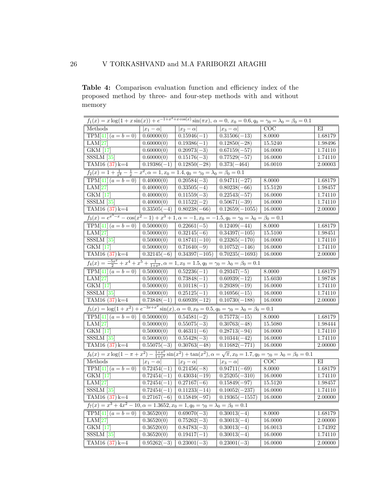Table 4: Comparison evaluation function and efficiency index of the proposed method by three- and four-step methods with and without memory

| $f_1(x) = x \log(1 + x \sin(x)) + e^{-1 + x^2 + x \cos(x)} \sin(\pi x), \ \alpha = 0, x_0 = 0.6, q_0 = \gamma_0 = \lambda_0 = \beta_0 = 0.1$             |                             |                            |                           |         |         |
|----------------------------------------------------------------------------------------------------------------------------------------------------------|-----------------------------|----------------------------|---------------------------|---------|---------|
| Methods                                                                                                                                                  | $\overline{ x_1-\alpha }$   | $\overline{ x_2-\alpha }$  | $\overline{ x_3-\alpha }$ | COC     | $E$ I   |
| $TPM[41](a = b = 0)$                                                                                                                                     | 0.60000(0)                  | $0.15946(-1)$              | $0.31506(-13)$            | 8.0000  | 1.68179 |
| LAM[27]                                                                                                                                                  | 0.60000(0)                  | $0.19386(-1)$              | $0.12850(-28)$            | 15.5240 | 1.98496 |
| <b>GKM</b> [17]                                                                                                                                          | $\overline{0.60000(0)}$     | $0.20973(-3)$              | $0.67159(-57)$            | 16.0000 | 1.74110 |
| $SSSLM$ [35]                                                                                                                                             | 0.60000(0)                  | $0.15176(-3)$              | $0.77529(-57)$            | 16.0000 | 1.74110 |
| TAM16 $(37)$ k=4                                                                                                                                         | $0.19386(-1)$               | $0.12850(-28)$             | $0.373(-464)$             | 16.0010 | 2.00003 |
| $f_2(x) = 1 + \frac{1}{x^4} - \frac{1}{x} - x^2, \alpha = 1, x_0 = 1.4, q_0 = \gamma_0 = \lambda_0 = \beta_0 = 0.1$                                      |                             |                            |                           |         |         |
| $TPM[41](a = b = 0)$                                                                                                                                     | 0.40000(0)                  | $0.20584(-3)$              | $0.94711(-27)$            | 8.0000  | 1.68179 |
| $\overline{\text{LAM}[27]}$                                                                                                                              | 0.40000(0)                  | $0.33505(-4)$              | $0.80238(-66)$            | 15.5120 | 1.98457 |
| <b>GKM</b> [17]                                                                                                                                          | 0.40000(0)                  | $0.11559(-3)$              | $0.22543(-57)$            | 16.0000 | 1.74110 |
| $SSSLM$ [35]                                                                                                                                             | 0.40000(0)                  | $0.11522(-2)$              | $0.50671(-39)$            | 16.0000 | 1.74110 |
| TAM16 $(37)$ k=4                                                                                                                                         | $0.33505(-4)$               | $0.80238(-66)$             | $0.12659(-1055)$          | 16.0000 | 2.00000 |
| $f_3(x) = e^{x^3 - x} - \cos(x^2 - 1) + x^3 + 1, \alpha = -1, x_0 = -1.5, q_0 = \gamma_0 = \lambda_0 = \beta_0 = 0.1$                                    |                             |                            |                           |         |         |
| $TPM[41](a = b = 0)$                                                                                                                                     | 0.50000(0)                  | $0.22661(-5)$              | $0.12409(-44)$            | 8.0000  | 1.68179 |
| LAM[27]                                                                                                                                                  | 0.50000(0)                  | $0.32145(-6)$              | $0.34397(-105)$           | 15.5100 | 1.98451 |
| $SSSLM$ [35]                                                                                                                                             | 0.50000(0)                  | $0.18741(-10)$             | $0.23265(-170)$           | 16.0000 | 1.74110 |
| <b>GKM</b> [17]                                                                                                                                          | 0.50000(0)                  | $\sqrt{0.71640(-9)}$       | $0.10752(-146)$           | 16.0000 | 1.74110 |
| TAM16 $(37)$ k=4                                                                                                                                         | $\overline{0.32145(-6)}$    | $\overline{0.34397(-105)}$ | $0.70235(-1693)$          | 16.0000 | 2.00000 |
| $f_4(x) = \frac{-5x^2}{2} + x^4 + x^5 + \frac{1}{1+x^2}$ , $\alpha = 1, x_0 = 1.5, q_0 = \gamma_0 = \lambda_0 = \beta_0 = 0.1$                           |                             |                            |                           |         |         |
| $TPM[41](a = b = 0)$                                                                                                                                     | 0.50000(0)                  | $0.52236(-1)$              | $0.29347(-5)$             | 8.0000  | 1.68179 |
| LAM[27]                                                                                                                                                  | 0.50000(0)                  | $0.73848(-1)$              | $0.60939(-12)$            | 15.6030 | 1.98748 |
| <b>GKM</b> [17]                                                                                                                                          | 0.50000(0)                  | $0.10118(-1)$              | $0.29389(-19)$            | 16.0000 | 1.74110 |
| $SSSLM$ [35]                                                                                                                                             | 0.50000(0)                  | $0.25125(-1)$              | $0.16956(-15)$            | 16.0000 | 1.74110 |
| TAM16 $(37)$ k=4                                                                                                                                         | $0.73848(-1)$               | $0.60939(-12)$             | $0.10730(-188)$           | 16.0000 | 2.00000 |
| $f_5(x) = \log(1 + x^2) + e^{-3x + x^2} \sin(x), \alpha = 0, x_0 = 0.5, q_0 = \gamma_0 = \lambda_0 = \beta_0 = 0.1$                                      |                             |                            |                           |         |         |
| $TPM[41](a = b = 0)$                                                                                                                                     | 0.50000(0)                  | $0.54581(-2)$              | $0.75773(-15)$            | 8.0000  | 1.68179 |
| LAM[27]                                                                                                                                                  | 0.50000(0)                  | $0.55075(-3)$              | $0.30763(-48)$            | 15.5080 | 1.98444 |
| $\overline{\text{GKM}[\![17]\!]}$                                                                                                                        | 0.50000(0)                  | $0.46311(-6)$              | $0.28713(-94)$            | 16.0000 | 1.74110 |
| $SSSLM$ [35]                                                                                                                                             | $\overline{0.50000}(0)$     | $0.55428(-3)$              | $0.10344(-42)$            | 16.0000 | 1.74110 |
| TAM16 $(37)$ k=4                                                                                                                                         | $0.55075(-3)$               | $0.30763(-48)$             | $\boxed{0.11682(-771)}$   | 16.0000 | 2.00000 |
| $f_6(x) = x \log(1 - \pi + x^2) - \frac{1+x^2}{1+x^3} \sin(x^2) + \tan(x^2), \alpha = \sqrt{\pi}, x_0 = 1.7, q_0 = \gamma_0 = \lambda_0 = \beta_0 = 0.1$ |                             |                            |                           |         |         |
| Methods                                                                                                                                                  | $\overline{ x_1} - \alpha $ | $ x_2-\alpha $             | $ x_3-\alpha $            | COC     | $E$ I   |
| $TPM[41](a = b = 0)$                                                                                                                                     | $0.72454(-1)$               | $0.21456(-8)$              | $0.94711(-69)$            | 8.0000  | 1.68179 |
| GKM [17]                                                                                                                                                 | $0.72454(-1)$               | $0.43034(-19)$             | $0.25205(-310)$           | 16.0000 | 1.74110 |
| LAM[27]                                                                                                                                                  | $0.72454(-1)$               | $0.27167(-6)$              | $0.15849(-97)$            | 15.5120 | 1.98457 |
| $SSSLM$ [35]                                                                                                                                             | $0.72454(-1)$               | $0.11233(-14)$             | $0.10052(-237)$           | 16.0000 | 1.74110 |
| TAM16 $(37)$ k=4                                                                                                                                         | $0.27167(-6)$               | $0.15849(-97)$             | $0.19365(-1557)$          | 16.0000 | 2.00000 |
| $f_7(x) = x^3 + 4x^2 - 10, \alpha = 1.3652, x_0 = 1, q_0 = \gamma_0 = \lambda_0 = \beta_0 = 0.1$                                                         |                             |                            |                           |         |         |
| $TPM[41](a = b = 0)$                                                                                                                                     | 0.36520(0)                  | $0.69070(-3)$              | $0.30013(-4)$             | 8.0000  | 1.68179 |
| LAM[27]                                                                                                                                                  | 0.36520(0)                  | $0.75262(-3)$              | $0.30013(-4)$             | 16.0000 | 2.00000 |
| $\overline{\text{GKM}}$ [17]                                                                                                                             | $\overline{0.36520(0)}$     | $0.84783(-3)$              | $0.30013(-4)$             | 16.0013 | 1.74392 |
| $SSSLM$ [35]                                                                                                                                             | 0.36520(0)                  | $0.19417(-1)$              | $0.30013(-4)$             | 16.0000 | 1.74110 |
| TAM16 $(37)$ k=4                                                                                                                                         | $\overline{0.95262(-3)}$    | $0.23001(-3)$              | $0.23001(-3)$             | 16.0000 | 2.00000 |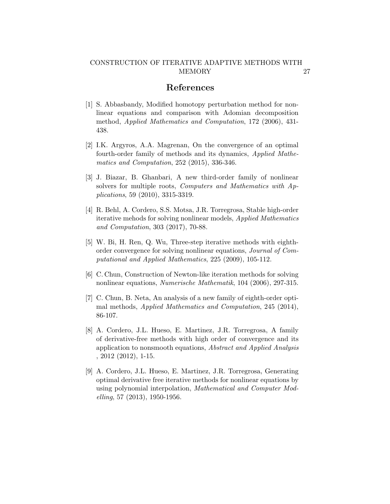## References

- <span id="page-26-0"></span>[1] S. Abbasbandy, Modified homotopy perturbation method for nonlinear equations and comparison with Adomian decomposition method, Applied Mathematics and Computation, 172 (2006), 431- 438.
- <span id="page-26-1"></span>[2] I.K. Argyros, A.A. Magrenan, On the convergence of an optimal fourth-order family of methods and its dynamics, Applied Mathematics and Computation, 252 (2015), 336-346.
- <span id="page-26-2"></span>[3] J. Biazar, B. Ghanbari, A new third-order family of nonlinear solvers for multiple roots, Computers and Mathematics with Applications, 59 (2010), 3315-3319.
- <span id="page-26-3"></span>[4] R. Behl, A. Cordero, S.S. Motsa, J.R. Torregrosa, Stable high-order iterative mehods for solving nonlinear models, Applied Mathematics and Computation, 303 (2017), 70-88.
- <span id="page-26-4"></span>[5] W. Bi, H. Ren, Q. Wu, Three-step iterative methods with eighthorder convergence for solving nonlinear equations, Journal of Computational and Applied Mathematics, 225 (2009), 105-112.
- <span id="page-26-5"></span>[6] C. Chun, Construction of Newton-like iteration methods for solving nonlinear equations, Numerische Mathematik, 104 (2006), 297-315.
- <span id="page-26-6"></span>[7] C. Chun, B. Neta, An analysis of a new family of eighth-order optimal methods, Applied Mathematics and Computation, 245 (2014), 86-107.
- <span id="page-26-7"></span>[8] A. Cordero, J.L. Hueso, E. Martinez, J.R. Torregrosa, A family of derivative-free methods with high order of convergence and its application to nonsmooth equations, Abstract and Applied Analysis , 2012 (2012), 1-15.
- <span id="page-26-8"></span>[9] A. Cordero, J.L. Hueso, E. Martinez, J.R. Torregrosa, Generating optimal derivative free iterative methods for nonlinear equations by using polynomial interpolation, Mathematical and Computer Modelling, 57 (2013), 1950-1956.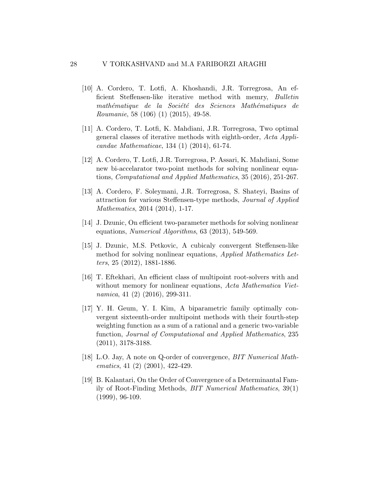- <span id="page-27-4"></span>[10] A. Cordero, T. Lotfi, A. Khoshandi, J.R. Torregrosa, An efficient Steffensen-like iterative method with memry, Bulletin mathématique de la Société des Sciences Mathématiques de Roumanie, 58 (106) (1) (2015), 49-58.
- <span id="page-27-0"></span>[11] A. Cordero, T. Lotfi, K. Mahdiani, J.R. Torregrosa, Two optimal general classes of iterative methods with eighth-order, Acta Applicandae Mathematicae, 134 (1) (2014), 61-74.
- <span id="page-27-5"></span>[12] A. Cordero, T. Lotfi, J.R. Torregrosa, P. Assari, K. Mahdiani, Some new bi-accelarator two-point methods for solving nonlinear equations, Computational and Applied Mathematics, 35 (2016), 251-267.
- <span id="page-27-1"></span>[13] A. Cordero, F. Soleymani, J.R. Torregrosa, S. Shateyi, Basins of attraction for various Steffensen-type methods, Journal of Applied Mathematics, 2014 (2014), 1-17.
- <span id="page-27-6"></span>[14] J. Dzunic, On efficient two-parameter methods for solving nonlinear equations, Numerical Algorithms, 63 (2013), 549-569.
- <span id="page-27-7"></span>[15] J. Dzunic, M.S. Petkovic, A cubicaly convergent Steffensen-like method for solving nonlinear equations, Applied Mathematics Letters, 25 (2012), 1881-1886.
- <span id="page-27-8"></span>[16] T. Eftekhari, An efficient class of multipoint root-solvers with and without memory for nonlinear equations, Acta Mathematica Vietnamica, 41 (2) (2016), 299-311.
- <span id="page-27-2"></span>[17] Y. H. Geum, Y. I. Kim, A biparametric family optimally convergent sixteenth-order multipoint methods with their fourth-step weighting function as a sum of a rational and a generic two-variable function, Journal of Computational and Applied Mathematics, 235 (2011), 3178-3188.
- <span id="page-27-9"></span>[18] L.O. Jay, A note on Q-order of convergence, BIT Numerical Mathematics, 41 (2) (2001), 422-429.
- <span id="page-27-3"></span>[19] B. Kalantari, On the Order of Convergence of a Determinantal Family of Root-Finding Methods, BIT Numerical Mathematics, 39(1) (1999), 96-109.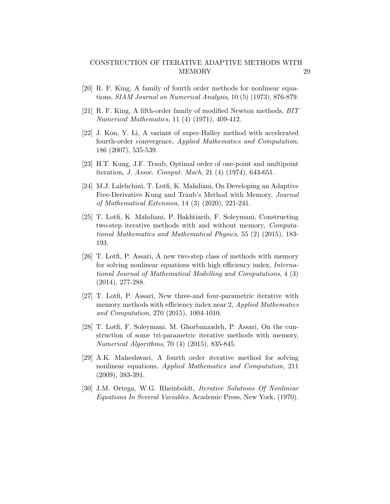- <span id="page-28-2"></span>[20] R. F. King, A family of fourth order methods for nonlinear equations, SIAM Journal on Numerical Analysis, 10 (5) (1973), 876-879.
- <span id="page-28-3"></span>[21] R. F. King, A fifth-order family of modified Newton methods, BIT Numerical Mathematics, 11 (4) (1971), 409-412.
- <span id="page-28-4"></span>[22] J. Kou, Y. Li, A variant of super-Halley method with accelerated fourth-order convergence, Applied Mathematics and Computation, 186 (2007), 535-539.
- <span id="page-28-1"></span>[23] H.T. Kung, J.F. Traub, Optimal order of one-point and multipoint iteration, J. Assoc. Comput. Mach, 21 (4) (1974), 643-651.
- <span id="page-28-6"></span>[24] M.J. Lalehchini, T. Lotfi, K. Mahdiani, On Developing an Adaptive Free-Derivative Kung and Traub's Method with Memory, Journal of Mathematical Extension, 14 (3) (2020), 221-241.
- <span id="page-28-7"></span>[25] T. Lotfi, K. Mahdiani, P. Bakhtiarib, F. Soleymani, Constructing two-step iterative methods with and without memory, Computational Mathematics and Mathematical Physics, 55 (2) (2015), 183- 193.
- <span id="page-28-8"></span>[26] T. Lotfi, P. Assari, A new two-step class of methods with memory for solving nonlinear equations with high efficiency index, International Journal of Mathematical Modelling and Computations, 4 (3) (2014), 277-288.
- <span id="page-28-9"></span>[27] T. Lotfi, P. Assari, New three-and four-parametric iterative with memory methods with efficiency index near 2, Applied Mathematics and Computation, 270 (2015), 1004-1010.
- <span id="page-28-10"></span>[28] T. Lotfi, F. Soleymani, M. Ghorbanzadeh, P. Assari, On the cunstruction of some tri-parametric iterative methods with memory, Numerical Algorithms, 70 (4) (2015), 835-845.
- <span id="page-28-5"></span>[29] A.K. Maheshwari, A fourth order iterative method for solving nonlinear equations, Applied Mathematics and Computation, 211 (2009), 383-391.
- <span id="page-28-0"></span>[30] J.M. Ortega, W.G. Rheinboldt, Iterative Solutions Of Nonlinear Equations In Several Variables, Academic Press, New York, (1970).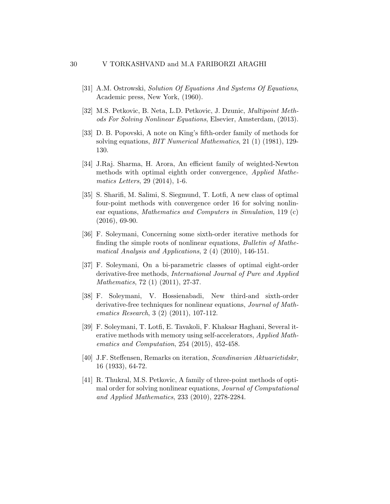- <span id="page-29-0"></span>[31] A.M. Ostrowski, Solution Of Equations And Systems Of Equations, Academic press, New York, (1960).
- <span id="page-29-8"></span>[32] M.S. Petkovic, B. Neta, L.D. Petkovic, J. Dzunic, Multipoint Methods For Solving Nonlinear Equations, Elsevier, Amsterdam, (2013).
- <span id="page-29-1"></span>[33] D. B. Popovski, A note on King's fifth-order family of methods for solving equations, BIT Numerical Mathematics, 21 (1) (1981), 129- 130.
- <span id="page-29-2"></span>[34] J.Raj. Sharma, H. Arora, An efficient family of weighted-Newton methods with optimal eighth order convergence, Applied Mathematics Letters, 29 (2014), 1-6.
- <span id="page-29-10"></span>[35] S. Sharifi, M. Salimi, S. Siegmund, T. Lotfi, A new class of optimal four-point methods with convergence order 16 for solving nonlinear equations, Mathematics and Computers in Simulation, 119 (c) (2016), 69-90.
- <span id="page-29-3"></span>[36] F. Soleymani, Concerning some sixth-order iterative methods for finding the simple roots of nonlinear equations, Bulletin of Mathematical Analysis and Applications, 2 (4) (2010), 146-151.
- <span id="page-29-4"></span>[37] F. Soleymani, On a bi-parametric classes of optimal eight-order derivative-free methods, International Journal of Pure and Applied Mathematics, 72 (1) (2011), 27-37.
- <span id="page-29-5"></span>[38] F. Soleymani, V. Hossienabadi, New third-and sixth-order derivative-free techniques for nonlinear equations, *Journal of Math*ematics Research, 3 (2) (2011), 107-112.
- <span id="page-29-9"></span>[39] F. Soleymani, T. Lotfi, E. Tavakoli, F. Khaksar Haghani, Several iterative methods with memory using self-accelerators, Applied Mathematics and Computation, 254 (2015), 452-458.
- <span id="page-29-6"></span>[40] J.F. Steffensen, Remarks on iteration, Scandinavian Aktuarietidskr, 16 (1933), 64-72.
- <span id="page-29-7"></span>[41] R. Thukral, M.S. Petkovic, A family of three-point methods of optimal order for solving nonlinear equations, Journal of Computational and Applied Mathematics, 233 (2010), 2278-2284.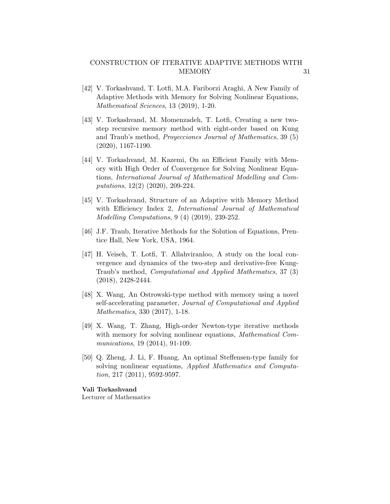- <span id="page-30-8"></span>[42] V. Torkashvand, T. Lotfi, M.A. Fariborzi Araghi, A New Family of Adaptive Methods with Memory for Solving Nonlinear Equations, Mathematical Sciences, 13 (2019), 1-20.
- <span id="page-30-3"></span>[43] V. Torkashvand, M. Momenzadeh, T. Lotfi, Creating a new twostep recursive memory method with eight-order based on Kung and Traub's method, Proyecciones Journal of Mathematics, 39 (5) (2020), 1167-1190.
- <span id="page-30-4"></span>[44] V. Torkashvand, M. Kazemi, On an Efficient Family with Memory with High Order of Convergence for Solving Nonlinear Equations, International Journal of Mathematical Modelling and Computations, 12(2) (2020), 209-224.
- <span id="page-30-5"></span>[45] V. Torkashvand, Structure of an Adaptive with Memory Method with Efficiency Index 2, International Journal of Mathematical Modelling Computations, 9 (4) (2019), 239-252.
- <span id="page-30-0"></span>[46] J.F. Traub, Iterative Methods for the Solution of Equations, Prentice Hall, New York, USA, 1964.
- <span id="page-30-1"></span>[47] H. Veiseh, T. Lotfi, T. Allahviranloo, A study on the local convergence and dynamics of the two-step and derivative-free Kung-Traub's method, Computational and Applied Mathematics, 37 (3) (2018), 2428-2444.
- <span id="page-30-6"></span>[48] X. Wang, An Ostrowski-type method with memory using a novel self-accelerating parameter, Journal of Computational and Applied Mathematics, 330 (2017), 1-18.
- <span id="page-30-7"></span>[49] X. Wang, T. Zhang, High-order Newton-type iterative methods with memory for solving nonlinear equations, *Mathematical Com*munications, 19 (2014), 91-109.
- <span id="page-30-2"></span>[50] Q. Zheng, J. Li, F. Huang, An optimal Steffensen-type family for solving nonlinear equations, Applied Mathematics and Computation, 217 (2011), 9592-9597.

Vali Torkashvand

Lecturer of Mathematics